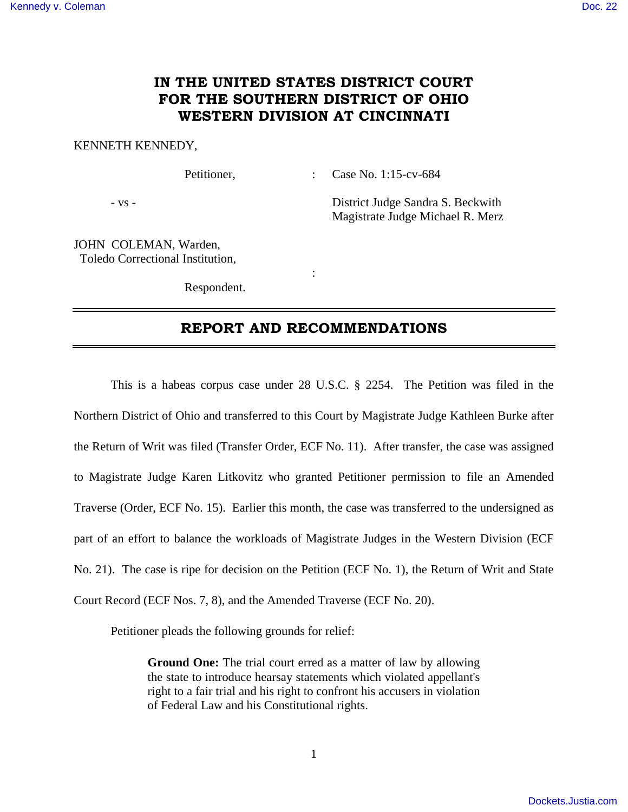# **IN THE UNITED STATES DISTRICT COURT FOR THE SOUTHERN DISTRICT OF OHIO WESTERN DIVISION AT CINCINNATI**

### KENNETH KENNEDY,

Petitioner, : Case No. 1:15-cv-684

- vs - District Judge Sandra S. Beckwith Magistrate Judge Michael R. Merz

JOHN COLEMAN, Warden, Toledo Correctional Institution,

Respondent.

**Service State State State** 

# **REPORT AND RECOMMENDATIONS**

 This is a habeas corpus case under 28 U.S.C. § 2254. The Petition was filed in the Northern District of Ohio and transferred to this Court by Magistrate Judge Kathleen Burke after the Return of Writ was filed (Transfer Order, ECF No. 11). After transfer, the case was assigned to Magistrate Judge Karen Litkovitz who granted Petitioner permission to file an Amended Traverse (Order, ECF No. 15). Earlier this month, the case was transferred to the undersigned as part of an effort to balance the workloads of Magistrate Judges in the Western Division (ECF No. 21). The case is ripe for decision on the Petition (ECF No. 1), the Return of Writ and State Court Record (ECF Nos. 7, 8), and the Amended Traverse (ECF No. 20).

Petitioner pleads the following grounds for relief:

**Ground One:** The trial court erred as a matter of law by allowing the state to introduce hearsay statements which violated appellant's right to a fair trial and his right to confront his accusers in violation of Federal Law and his Constitutional rights.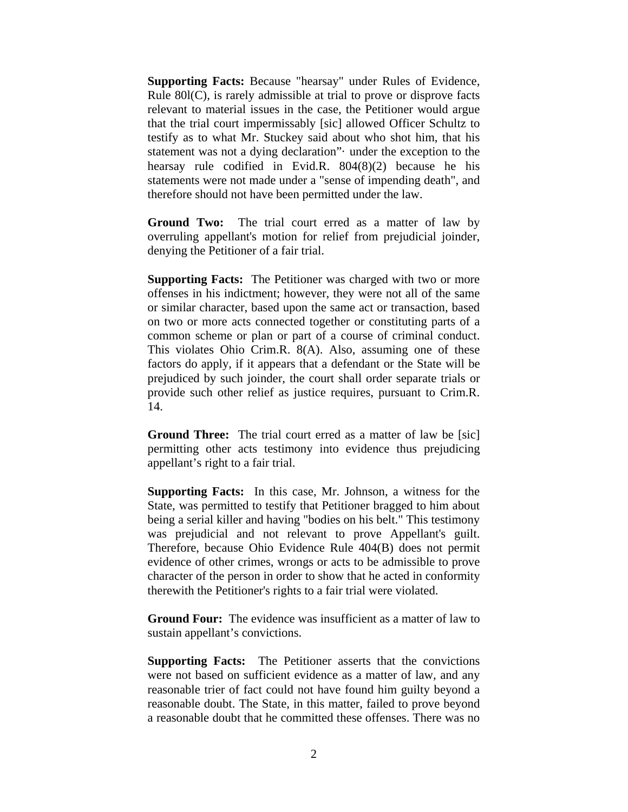**Supporting Facts:** Because "hearsay" under Rules of Evidence, Rule 80l(C), is rarely admissible at trial to prove or disprove facts relevant to material issues in the case, the Petitioner would argue that the trial court impermissably [sic] allowed Officer Schultz to testify as to what Mr. Stuckey said about who shot him, that his statement was not a dying declaration"· under the exception to the hearsay rule codified in Evid.R. 804(8)(2) because he his statements were not made under a "sense of impending death", and therefore should not have been permitted under the law.

**Ground Two:** The trial court erred as a matter of law by overruling appellant's motion for relief from prejudicial joinder, denying the Petitioner of a fair trial.

**Supporting Facts:** The Petitioner was charged with two or more offenses in his indictment; however, they were not all of the same or similar character, based upon the same act or transaction, based on two or more acts connected together or constituting parts of a common scheme or plan or part of a course of criminal conduct. This violates Ohio Crim.R. 8(A). Also, assuming one of these factors do apply, if it appears that a defendant or the State will be prejudiced by such joinder, the court shall order separate trials or provide such other relief as justice requires, pursuant to Crim.R. 14.

**Ground Three:** The trial court erred as a matter of law be [sic] permitting other acts testimony into evidence thus prejudicing appellant's right to a fair trial.

**Supporting Facts:** In this case, Mr. Johnson, a witness for the State, was permitted to testify that Petitioner bragged to him about being a serial killer and having "bodies on his belt." This testimony was prejudicial and not relevant to prove Appellant's guilt. Therefore, because Ohio Evidence Rule 404(B) does not permit evidence of other crimes, wrongs or acts to be admissible to prove character of the person in order to show that he acted in conformity therewith the Petitioner's rights to a fair trial were violated.

**Ground Four:** The evidence was insufficient as a matter of law to sustain appellant's convictions.

**Supporting Facts:** The Petitioner asserts that the convictions were not based on sufficient evidence as a matter of law, and any reasonable trier of fact could not have found him guilty beyond a reasonable doubt. The State, in this matter, failed to prove beyond a reasonable doubt that he committed these offenses. There was no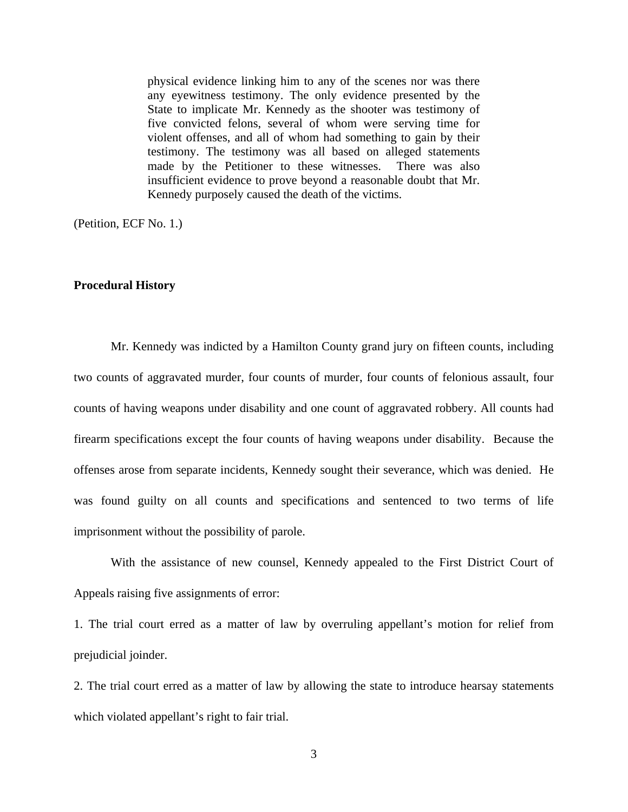physical evidence linking him to any of the scenes nor was there any eyewitness testimony. The only evidence presented by the State to implicate Mr. Kennedy as the shooter was testimony of five convicted felons, several of whom were serving time for violent offenses, and all of whom had something to gain by their testimony. The testimony was all based on alleged statements made by the Petitioner to these witnesses. There was also insufficient evidence to prove beyond a reasonable doubt that Mr. Kennedy purposely caused the death of the victims.

(Petition, ECF No. 1.)

### **Procedural History**

 Mr. Kennedy was indicted by a Hamilton County grand jury on fifteen counts, including two counts of aggravated murder, four counts of murder, four counts of felonious assault, four counts of having weapons under disability and one count of aggravated robbery. All counts had firearm specifications except the four counts of having weapons under disability. Because the offenses arose from separate incidents, Kennedy sought their severance, which was denied. He was found guilty on all counts and specifications and sentenced to two terms of life imprisonment without the possibility of parole.

 With the assistance of new counsel, Kennedy appealed to the First District Court of Appeals raising five assignments of error:

1. The trial court erred as a matter of law by overruling appellant's motion for relief from prejudicial joinder.

2. The trial court erred as a matter of law by allowing the state to introduce hearsay statements which violated appellant's right to fair trial.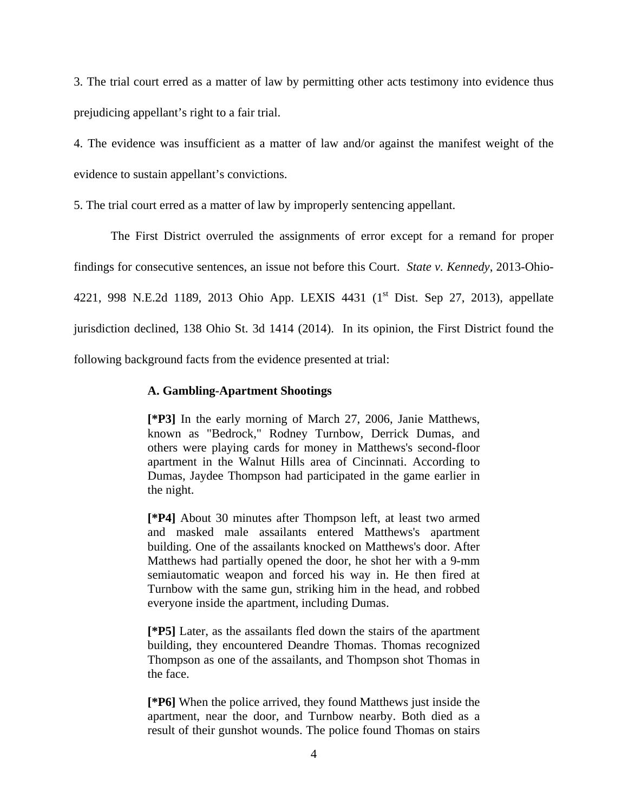3. The trial court erred as a matter of law by permitting other acts testimony into evidence thus prejudicing appellant's right to a fair trial.

4. The evidence was insufficient as a matter of law and/or against the manifest weight of the evidence to sustain appellant's convictions.

5. The trial court erred as a matter of law by improperly sentencing appellant.

 The First District overruled the assignments of error except for a remand for proper findings for consecutive sentences, an issue not before this Court. *State v. Kennedy*, 2013-Ohio-4221, 998 N.E.2d 1189, 2013 Ohio App. LEXIS 4431 (1<sup>st</sup> Dist. Sep 27, 2013), appellate jurisdiction declined, 138 Ohio St. 3d 1414 (2014). In its opinion, the First District found the following background facts from the evidence presented at trial:

# **A. Gambling-Apartment Shootings**

**[\*P3]** In the early morning of March 27, 2006, Janie Matthews, known as "Bedrock," Rodney Turnbow, Derrick Dumas, and others were playing cards for money in Matthews's second-floor apartment in the Walnut Hills area of Cincinnati. According to Dumas, Jaydee Thompson had participated in the game earlier in the night.

**[\*P4]** About 30 minutes after Thompson left, at least two armed and masked male assailants entered Matthews's apartment building. One of the assailants knocked on Matthews's door. After Matthews had partially opened the door, he shot her with a 9-mm semiautomatic weapon and forced his way in. He then fired at Turnbow with the same gun, striking him in the head, and robbed everyone inside the apartment, including Dumas.

**[\*P5]** Later, as the assailants fled down the stairs of the apartment building, they encountered Deandre Thomas. Thomas recognized Thompson as one of the assailants, and Thompson shot Thomas in the face.

**[\*P6]** When the police arrived, they found Matthews just inside the apartment, near the door, and Turnbow nearby. Both died as a result of their gunshot wounds. The police found Thomas on stairs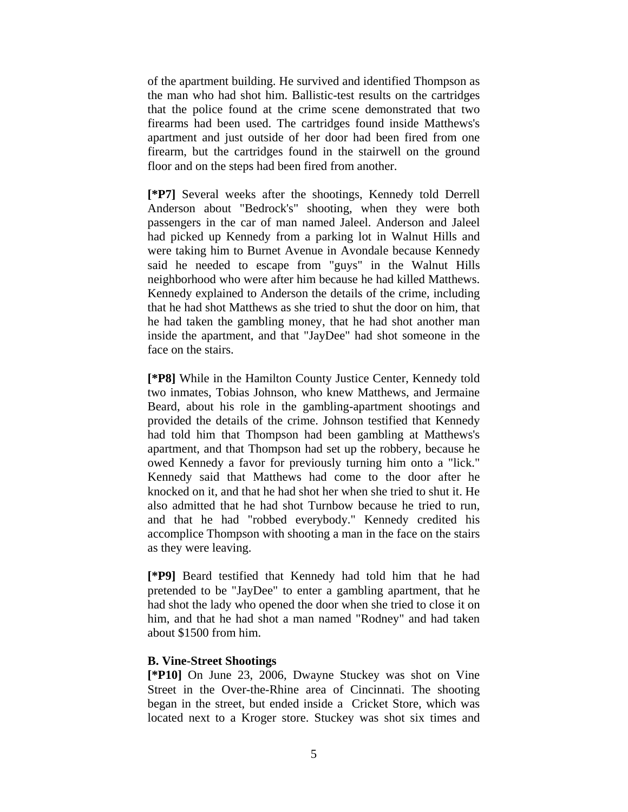of the apartment building. He survived and identified Thompson as the man who had shot him. Ballistic-test results on the cartridges that the police found at the crime scene demonstrated that two firearms had been used. The cartridges found inside Matthews's apartment and just outside of her door had been fired from one firearm, but the cartridges found in the stairwell on the ground floor and on the steps had been fired from another.

**[\*P7]** Several weeks after the shootings, Kennedy told Derrell Anderson about "Bedrock's" shooting, when they were both passengers in the car of man named Jaleel. Anderson and Jaleel had picked up Kennedy from a parking lot in Walnut Hills and were taking him to Burnet Avenue in Avondale because Kennedy said he needed to escape from "guys" in the Walnut Hills neighborhood who were after him because he had killed Matthews. Kennedy explained to Anderson the details of the crime, including that he had shot Matthews as she tried to shut the door on him, that he had taken the gambling money, that he had shot another man inside the apartment, and that "JayDee" had shot someone in the face on the stairs.

**[\*P8]** While in the Hamilton County Justice Center, Kennedy told two inmates, Tobias Johnson, who knew Matthews, and Jermaine Beard, about his role in the gambling-apartment shootings and provided the details of the crime. Johnson testified that Kennedy had told him that Thompson had been gambling at Matthews's apartment, and that Thompson had set up the robbery, because he owed Kennedy a favor for previously turning him onto a "lick." Kennedy said that Matthews had come to the door after he knocked on it, and that he had shot her when she tried to shut it. He also admitted that he had shot Turnbow because he tried to run, and that he had "robbed everybody." Kennedy credited his accomplice Thompson with shooting a man in the face on the stairs as they were leaving.

**[\*P9]** Beard testified that Kennedy had told him that he had pretended to be "JayDee" to enter a gambling apartment, that he had shot the lady who opened the door when she tried to close it on him, and that he had shot a man named "Rodney" and had taken about \$1500 from him.

### **B. Vine-Street Shootings**

**[\*P10]** On June 23, 2006, Dwayne Stuckey was shot on Vine Street in the Over-the-Rhine area of Cincinnati. The shooting began in the street, but ended inside a Cricket Store, which was located next to a Kroger store. Stuckey was shot six times and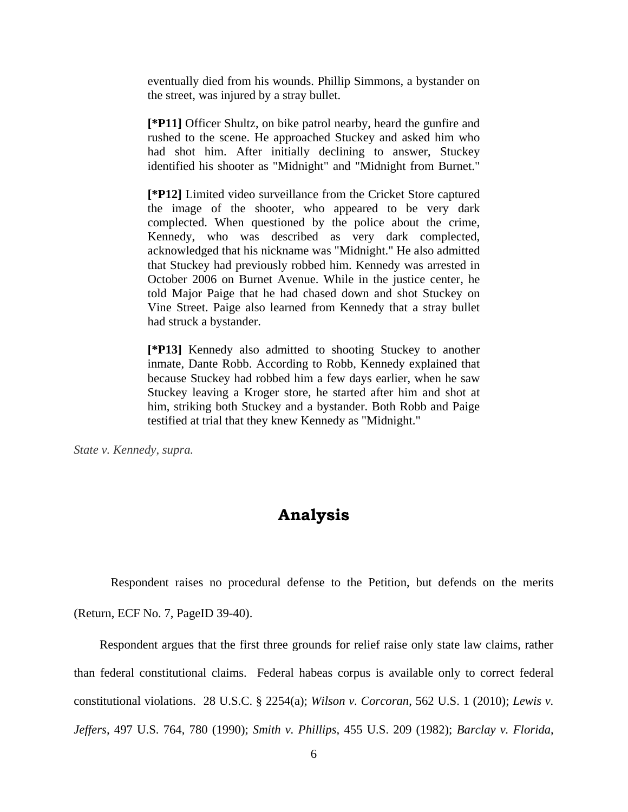eventually died from his wounds. Phillip Simmons, a bystander on the street, was injured by a stray bullet.

**[\*P11]** Officer Shultz, on bike patrol nearby, heard the gunfire and rushed to the scene. He approached Stuckey and asked him who had shot him. After initially declining to answer, Stuckey identified his shooter as "Midnight" and "Midnight from Burnet."

**[\*P12]** Limited video surveillance from the Cricket Store captured the image of the shooter, who appeared to be very dark complected. When questioned by the police about the crime, Kennedy, who was described as very dark complected, acknowledged that his nickname was "Midnight." He also admitted that Stuckey had previously robbed him. Kennedy was arrested in October 2006 on Burnet Avenue. While in the justice center, he told Major Paige that he had chased down and shot Stuckey on Vine Street. Paige also learned from Kennedy that a stray bullet had struck a bystander.

**[\*P13]** Kennedy also admitted to shooting Stuckey to another inmate, Dante Robb. According to Robb, Kennedy explained that because Stuckey had robbed him a few days earlier, when he saw Stuckey leaving a Kroger store, he started after him and shot at him, striking both Stuckey and a bystander. Both Robb and Paige testified at trial that they knew Kennedy as "Midnight."

*State v. Kennedy*, *supra.*

# **Analysis**

 Respondent raises no procedural defense to the Petition, but defends on the merits (Return, ECF No. 7, PageID 39-40).

 Respondent argues that the first three grounds for relief raise only state law claims, rather than federal constitutional claims. Federal habeas corpus is available only to correct federal constitutional violations. 28 U.S.C. § 2254(a); *Wilson v. Corcoran*, 562 U.S. 1 (2010); *Lewis v. Jeffers*, 497 U.S. 764, 780 (1990); *Smith v. Phillips*, 455 U.S. 209 (1982); *Barclay v. Florida*,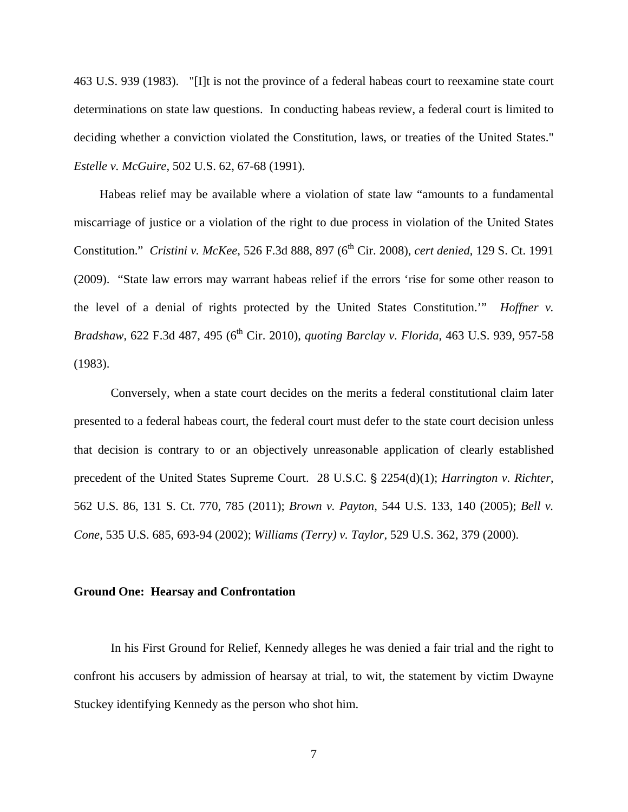463 U.S. 939 (1983). "[I]t is not the province of a federal habeas court to reexamine state court determinations on state law questions. In conducting habeas review, a federal court is limited to deciding whether a conviction violated the Constitution, laws, or treaties of the United States." *Estelle v. McGuire*, 502 U.S. 62, 67-68 (1991).

 Habeas relief may be available where a violation of state law "amounts to a fundamental miscarriage of justice or a violation of the right to due process in violation of the United States Constitution." *Cristini v. McKee*, 526 F.3d 888, 897 (6th Cir. 2008), *cert denied*, 129 S. Ct. 1991 (2009). "State law errors may warrant habeas relief if the errors 'rise for some other reason to the level of a denial of rights protected by the United States Constitution.'" *Hoffner v. Bradshaw*, 622 F.3d 487, 495 (6<sup>th</sup> Cir. 2010), *quoting Barclay v. Florida*, 463 U.S. 939, 957-58 (1983).

 Conversely, when a state court decides on the merits a federal constitutional claim later presented to a federal habeas court, the federal court must defer to the state court decision unless that decision is contrary to or an objectively unreasonable application of clearly established precedent of the United States Supreme Court. 28 U.S.C. § 2254(d)(1); *Harrington v. Richter*, 562 U.S. 86, 131 S. Ct. 770, 785 (2011); *Brown v. Payton*, 544 U.S. 133, 140 (2005); *Bell v. Cone*, 535 U.S. 685, 693-94 (2002); *Williams (Terry) v. Taylor*, 529 U.S. 362, 379 (2000).

### **Ground One: Hearsay and Confrontation**

 In his First Ground for Relief, Kennedy alleges he was denied a fair trial and the right to confront his accusers by admission of hearsay at trial, to wit, the statement by victim Dwayne Stuckey identifying Kennedy as the person who shot him.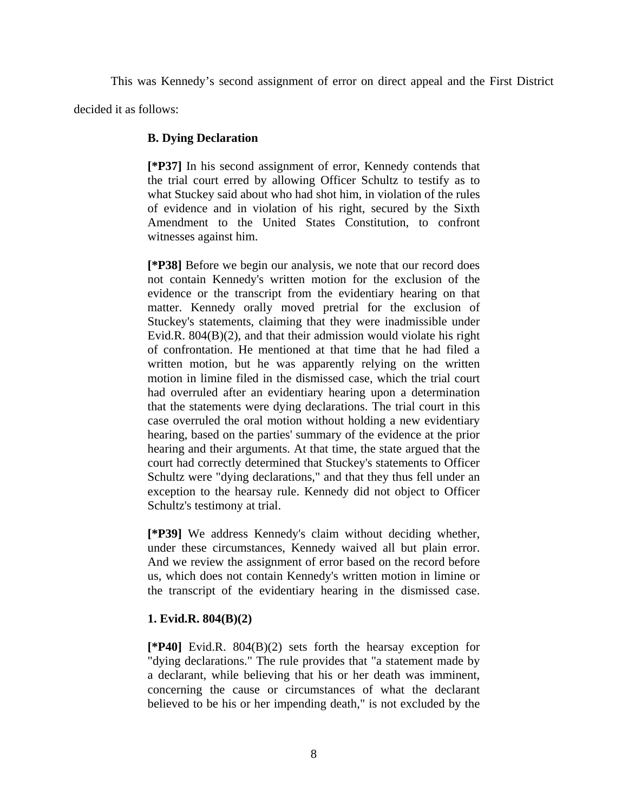This was Kennedy's second assignment of error on direct appeal and the First District

decided it as follows:

# **B. Dying Declaration**

**[\*P37]** In his second assignment of error, Kennedy contends that the trial court erred by allowing Officer Schultz to testify as to what Stuckey said about who had shot him, in violation of the rules of evidence and in violation of his right, secured by the Sixth Amendment to the United States Constitution, to confront witnesses against him.

**[\*P38]** Before we begin our analysis, we note that our record does not contain Kennedy's written motion for the exclusion of the evidence or the transcript from the evidentiary hearing on that matter. Kennedy orally moved pretrial for the exclusion of Stuckey's statements, claiming that they were inadmissible under Evid.R. 804(B)(2), and that their admission would violate his right of confrontation. He mentioned at that time that he had filed a written motion, but he was apparently relying on the written motion in limine filed in the dismissed case, which the trial court had overruled after an evidentiary hearing upon a determination that the statements were dying declarations. The trial court in this case overruled the oral motion without holding a new evidentiary hearing, based on the parties' summary of the evidence at the prior hearing and their arguments. At that time, the state argued that the court had correctly determined that Stuckey's statements to Officer Schultz were "dying declarations," and that they thus fell under an exception to the hearsay rule. Kennedy did not object to Officer Schultz's testimony at trial.

**[\*P39]** We address Kennedy's claim without deciding whether, under these circumstances, Kennedy waived all but plain error. And we review the assignment of error based on the record before us, which does not contain Kennedy's written motion in limine or the transcript of the evidentiary hearing in the dismissed case.

# **1. Evid.R. 804(B)(2)**

**[\*P40]** Evid.R. 804(B)(2) sets forth the hearsay exception for "dying declarations." The rule provides that "a statement made by a declarant, while believing that his or her death was imminent, concerning the cause or circumstances of what the declarant believed to be his or her impending death," is not excluded by the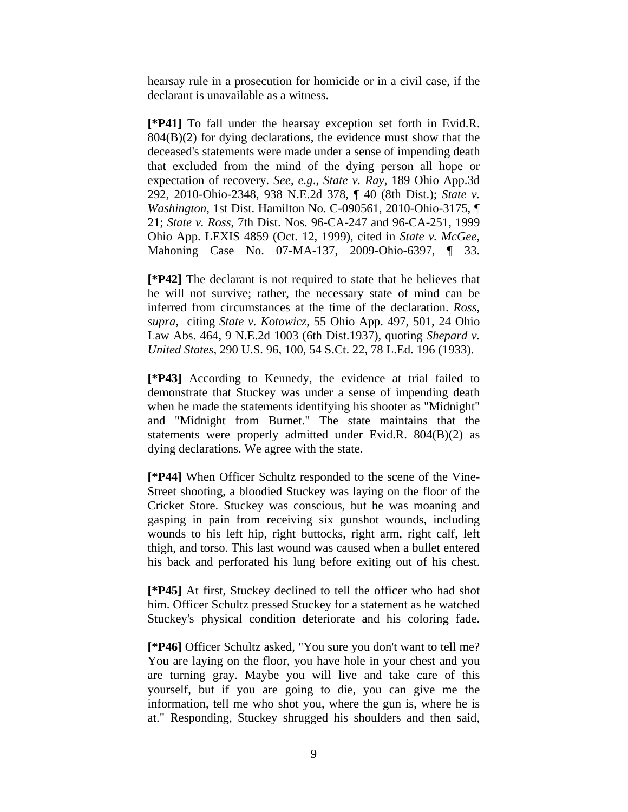hearsay rule in a prosecution for homicide or in a civil case, if the declarant is unavailable as a witness.

**[\*P41]** To fall under the hearsay exception set forth in Evid.R. 804(B)(2) for dying declarations, the evidence must show that the deceased's statements were made under a sense of impending death that excluded from the mind of the dying person all hope or expectation of recovery. *See*, *e.g*., *State v. Ray*, 189 Ohio App.3d 292, 2010-Ohio-2348, 938 N.E.2d 378, ¶ 40 (8th Dist.); *State v. Washington*, 1st Dist. Hamilton No. C-090561, 2010-Ohio-3175, ¶ 21; *State v. Ross*, 7th Dist. Nos. 96-CA-247 and 96-CA-251, 1999 Ohio App. LEXIS 4859 (Oct. 12, 1999), cited in *State v. McGee*, Mahoning Case No. 07-MA-137, 2009-Ohio-6397, ¶ 33.

**[\*P42]** The declarant is not required to state that he believes that he will not survive; rather, the necessary state of mind can be inferred from circumstances at the time of the declaration. *Ross*, *supra*, citing *State v. Kotowicz*, 55 Ohio App. 497, 501, 24 Ohio Law Abs. 464, 9 N.E.2d 1003 (6th Dist.1937), quoting *Shepard v. United States*, 290 U.S. 96, 100, 54 S.Ct. 22, 78 L.Ed. 196 (1933).

**[\*P43]** According to Kennedy, the evidence at trial failed to demonstrate that Stuckey was under a sense of impending death when he made the statements identifying his shooter as "Midnight" and "Midnight from Burnet." The state maintains that the statements were properly admitted under Evid.R. 804(B)(2) as dying declarations. We agree with the state.

**[\*P44]** When Officer Schultz responded to the scene of the Vine-Street shooting, a bloodied Stuckey was laying on the floor of the Cricket Store. Stuckey was conscious, but he was moaning and gasping in pain from receiving six gunshot wounds, including wounds to his left hip, right buttocks, right arm, right calf, left thigh, and torso. This last wound was caused when a bullet entered his back and perforated his lung before exiting out of his chest.

**[\*P45]** At first, Stuckey declined to tell the officer who had shot him. Officer Schultz pressed Stuckey for a statement as he watched Stuckey's physical condition deteriorate and his coloring fade.

**[\*P46]** Officer Schultz asked, "You sure you don't want to tell me? You are laying on the floor, you have hole in your chest and you are turning gray. Maybe you will live and take care of this yourself, but if you are going to die, you can give me the information, tell me who shot you, where the gun is, where he is at." Responding, Stuckey shrugged his shoulders and then said,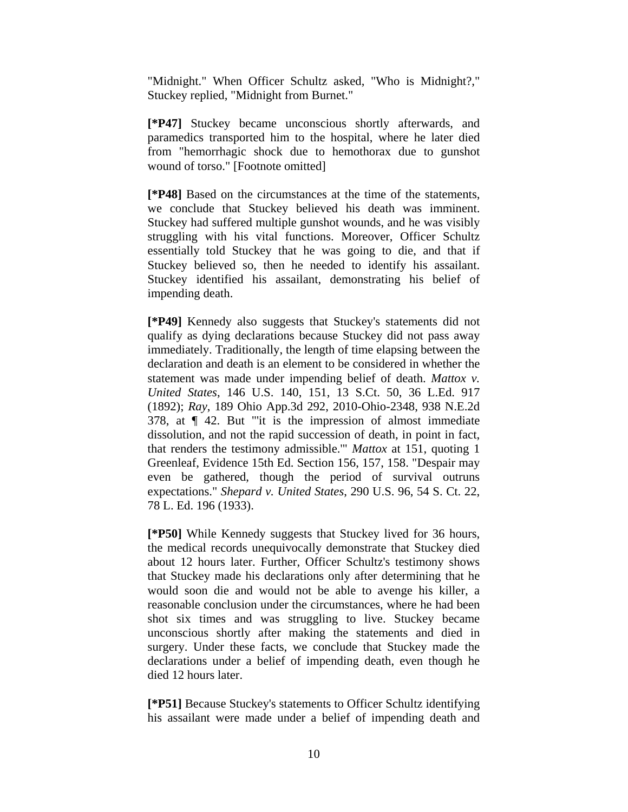"Midnight." When Officer Schultz asked, "Who is Midnight?," Stuckey replied, "Midnight from Burnet."

**[\*P47]** Stuckey became unconscious shortly afterwards, and paramedics transported him to the hospital, where he later died from "hemorrhagic shock due to hemothorax due to gunshot wound of torso." [Footnote omitted]

**[\*P48]** Based on the circumstances at the time of the statements, we conclude that Stuckey believed his death was imminent. Stuckey had suffered multiple gunshot wounds, and he was visibly struggling with his vital functions. Moreover, Officer Schultz essentially told Stuckey that he was going to die, and that if Stuckey believed so, then he needed to identify his assailant. Stuckey identified his assailant, demonstrating his belief of impending death.

**[\*P49]** Kennedy also suggests that Stuckey's statements did not qualify as dying declarations because Stuckey did not pass away immediately. Traditionally, the length of time elapsing between the declaration and death is an element to be considered in whether the statement was made under impending belief of death. *Mattox v. United States*, 146 U.S. 140, 151, 13 S.Ct. 50, 36 L.Ed. 917 (1892); *Ray*, 189 Ohio App.3d 292, 2010-Ohio-2348, 938 N.E.2d 378, at ¶ 42. But "'it is the impression of almost immediate dissolution, and not the rapid succession of death, in point in fact, that renders the testimony admissible.'" *Mattox* at 151, quoting 1 Greenleaf, Evidence 15th Ed. Section 156, 157, 158. "Despair may even be gathered, though the period of survival outruns expectations." *Shepard v. United States*, 290 U.S. 96, 54 S. Ct. 22, 78 L. Ed. 196 (1933).

**[\*P50]** While Kennedy suggests that Stuckey lived for 36 hours, the medical records unequivocally demonstrate that Stuckey died about 12 hours later. Further, Officer Schultz's testimony shows that Stuckey made his declarations only after determining that he would soon die and would not be able to avenge his killer, a reasonable conclusion under the circumstances, where he had been shot six times and was struggling to live. Stuckey became unconscious shortly after making the statements and died in surgery. Under these facts, we conclude that Stuckey made the declarations under a belief of impending death, even though he died 12 hours later.

**[\*P51]** Because Stuckey's statements to Officer Schultz identifying his assailant were made under a belief of impending death and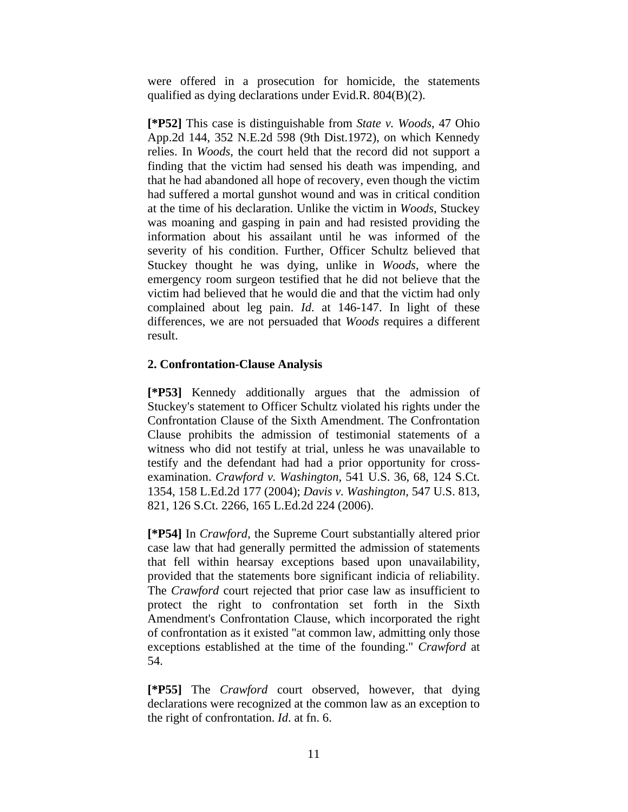were offered in a prosecution for homicide, the statements qualified as dying declarations under Evid.R. 804(B)(2).

**[\*P52]** This case is distinguishable from *State v. Woods*, 47 Ohio App.2d 144, 352 N.E.2d 598 (9th Dist.1972), on which Kennedy relies. In *Woods*, the court held that the record did not support a finding that the victim had sensed his death was impending, and that he had abandoned all hope of recovery, even though the victim had suffered a mortal gunshot wound and was in critical condition at the time of his declaration. Unlike the victim in *Woods*, Stuckey was moaning and gasping in pain and had resisted providing the information about his assailant until he was informed of the severity of his condition. Further, Officer Schultz believed that Stuckey thought he was dying, unlike in *Woods*, where the emergency room surgeon testified that he did not believe that the victim had believed that he would die and that the victim had only complained about leg pain. *Id*. at 146-147. In light of these differences, we are not persuaded that *Woods* requires a different result.

# **2. Confrontation-Clause Analysis**

**[\*P53]** Kennedy additionally argues that the admission of Stuckey's statement to Officer Schultz violated his rights under the Confrontation Clause of the Sixth Amendment. The Confrontation Clause prohibits the admission of testimonial statements of a witness who did not testify at trial, unless he was unavailable to testify and the defendant had had a prior opportunity for crossexamination. *Crawford v. Washington*, 541 U.S. 36, 68, 124 S.Ct. 1354, 158 L.Ed.2d 177 (2004); *Davis v. Washington*, 547 U.S. 813, 821, 126 S.Ct. 2266, 165 L.Ed.2d 224 (2006).

**[\*P54]** In *Crawford*, the Supreme Court substantially altered prior case law that had generally permitted the admission of statements that fell within hearsay exceptions based upon unavailability, provided that the statements bore significant indicia of reliability. The *Crawford* court rejected that prior case law as insufficient to protect the right to confrontation set forth in the Sixth Amendment's Confrontation Clause, which incorporated the right of confrontation as it existed "at common law, admitting only those exceptions established at the time of the founding." *Crawford* at 54.

**[\*P55]** The *Crawford* court observed, however, that dying declarations were recognized at the common law as an exception to the right of confrontation. *Id*. at fn. 6.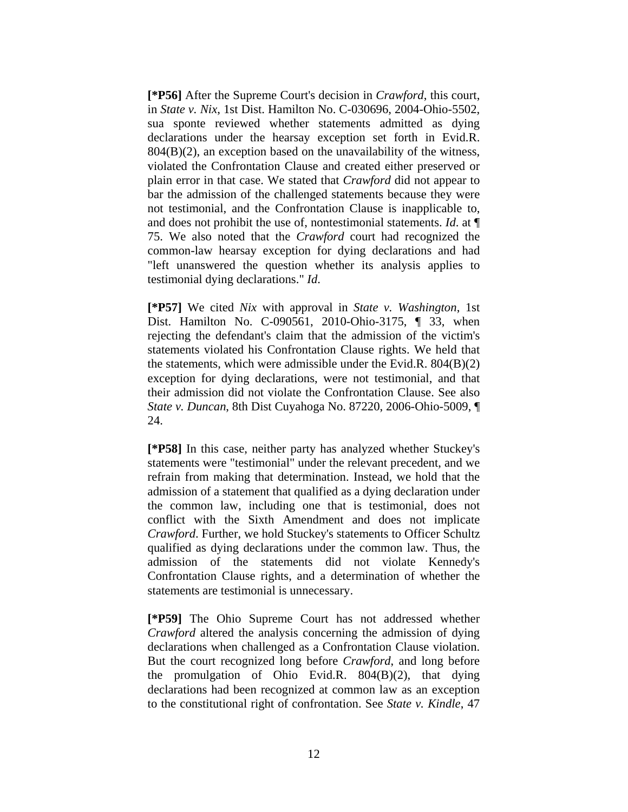**[\*P56]** After the Supreme Court's decision in *Crawford*, this court, in *State v. Nix*, 1st Dist. Hamilton No. C-030696, 2004-Ohio-5502, sua sponte reviewed whether statements admitted as dying declarations under the hearsay exception set forth in Evid.R. 804(B)(2), an exception based on the unavailability of the witness, violated the Confrontation Clause and created either preserved or plain error in that case. We stated that *Crawford* did not appear to bar the admission of the challenged statements because they were not testimonial, and the Confrontation Clause is inapplicable to, and does not prohibit the use of, nontestimonial statements. *Id*. at ¶ 75. We also noted that the *Crawford* court had recognized the common-law hearsay exception for dying declarations and had "left unanswered the question whether its analysis applies to testimonial dying declarations." *Id*.

**[\*P57]** We cited *Nix* with approval in *State v. Washington*, 1st Dist. Hamilton No. C-090561, 2010-Ohio-3175, ¶ 33, when rejecting the defendant's claim that the admission of the victim's statements violated his Confrontation Clause rights. We held that the statements, which were admissible under the Evid.R. 804(B)(2) exception for dying declarations, were not testimonial, and that their admission did not violate the Confrontation Clause. See also *State v. Duncan*, 8th Dist Cuyahoga No. 87220, 2006-Ohio-5009, ¶ 24.

**[\*P58]** In this case, neither party has analyzed whether Stuckey's statements were "testimonial" under the relevant precedent, and we refrain from making that determination. Instead, we hold that the admission of a statement that qualified as a dying declaration under the common law, including one that is testimonial, does not conflict with the Sixth Amendment and does not implicate *Crawford*. Further, we hold Stuckey's statements to Officer Schultz qualified as dying declarations under the common law. Thus, the admission of the statements did not violate Kennedy's Confrontation Clause rights, and a determination of whether the statements are testimonial is unnecessary.

**[\*P59]** The Ohio Supreme Court has not addressed whether *Crawford* altered the analysis concerning the admission of dying declarations when challenged as a Confrontation Clause violation. But the court recognized long before *Crawford*, and long before the promulgation of Ohio Evid.R. 804(B)(2), that dying declarations had been recognized at common law as an exception to the constitutional right of confrontation. See *State v. Kindle*, 47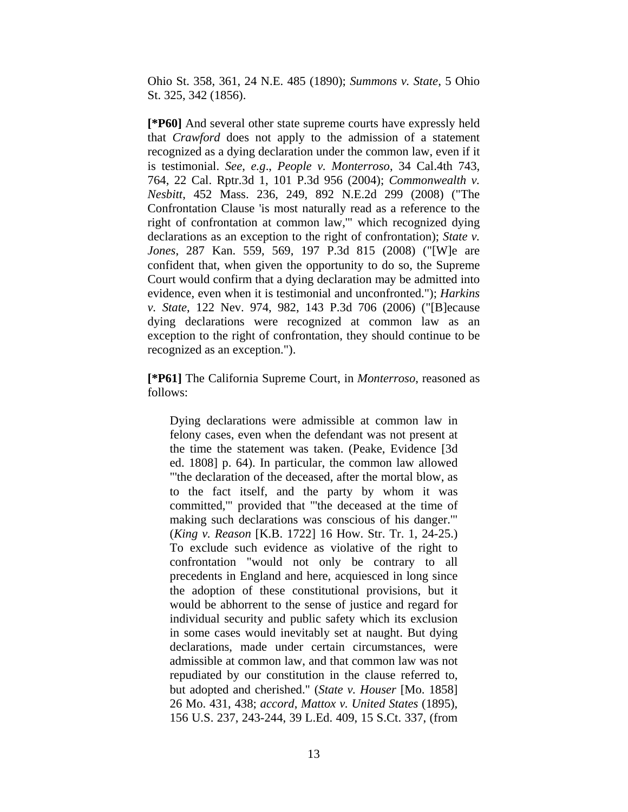Ohio St. 358, 361, 24 N.E. 485 (1890); *Summons v. State*, 5 Ohio St. 325, 342 (1856).

**[\*P60]** And several other state supreme courts have expressly held that *Crawford* does not apply to the admission of a statement recognized as a dying declaration under the common law, even if it is testimonial. *See*, *e.g*., *People v. Monterroso*, 34 Cal.4th 743, 764, 22 Cal. Rptr.3d 1, 101 P.3d 956 (2004); *Commonwealth v. Nesbitt*, 452 Mass. 236, 249, 892 N.E.2d 299 (2008) ("The Confrontation Clause 'is most naturally read as a reference to the right of confrontation at common law,'" which recognized dying declarations as an exception to the right of confrontation); *State v. Jones*, 287 Kan. 559, 569, 197 P.3d 815 (2008) ("[W]e are confident that, when given the opportunity to do so, the Supreme Court would confirm that a dying declaration may be admitted into evidence, even when it is testimonial and unconfronted."); *Harkins v. State*, 122 Nev. 974, 982, 143 P.3d 706 (2006) ("[B]ecause dying declarations were recognized at common law as an exception to the right of confrontation, they should continue to be recognized as an exception.").

**[\*P61]** The California Supreme Court, in *Monterroso*, reasoned as follows:

Dying declarations were admissible at common law in felony cases, even when the defendant was not present at the time the statement was taken. (Peake, Evidence [3d ed. 1808] p. 64). In particular, the common law allowed "'the declaration of the deceased, after the mortal blow, as to the fact itself, and the party by whom it was committed,'" provided that "'the deceased at the time of making such declarations was conscious of his danger.'" (*King v. Reason* [K.B. 1722] 16 How. Str. Tr. 1, 24-25.) To exclude such evidence as violative of the right to confrontation "would not only be contrary to all precedents in England and here, acquiesced in long since the adoption of these constitutional provisions, but it would be abhorrent to the sense of justice and regard for individual security and public safety which its exclusion in some cases would inevitably set at naught. But dying declarations, made under certain circumstances, were admissible at common law, and that common law was not repudiated by our constitution in the clause referred to, but adopted and cherished." (*State v. Houser* [Mo. 1858] 26 Mo. 431, 438; *accord*, *Mattox v. United States* (1895), 156 U.S. 237, 243-244, 39 L.Ed. 409, 15 S.Ct. 337, (from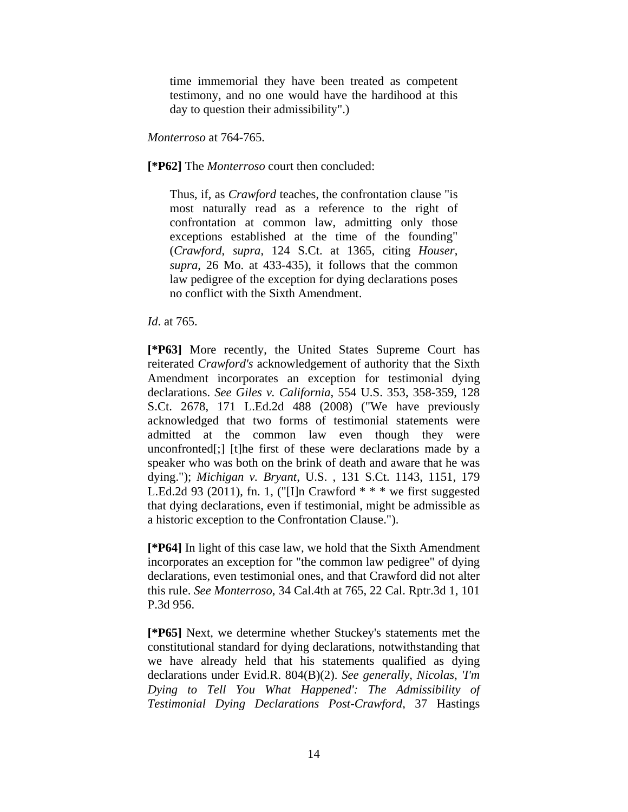time immemorial they have been treated as competent testimony, and no one would have the hardihood at this day to question their admissibility".)

## *Monterroso* at 764-765.

# **[\*P62]** The *Monterroso* court then concluded:

Thus, if, as *Crawford* teaches, the confrontation clause "is most naturally read as a reference to the right of confrontation at common law, admitting only those exceptions established at the time of the founding" (*Crawford*, *supra*, 124 S.Ct. at 1365, citing *Houser*, *supra*, 26 Mo. at 433-435), it follows that the common law pedigree of the exception for dying declarations poses no conflict with the Sixth Amendment.

# *Id*. at 765.

**[\*P63]** More recently, the United States Supreme Court has reiterated *Crawford's* acknowledgement of authority that the Sixth Amendment incorporates an exception for testimonial dying declarations. *See Giles v. California*, 554 U.S. 353, 358-359, 128 S.Ct. 2678, 171 L.Ed.2d 488 (2008) ("We have previously acknowledged that two forms of testimonial statements were admitted at the common law even though they were unconfronted[;] [t]he first of these were declarations made by a speaker who was both on the brink of death and aware that he was dying."); *Michigan v. Bryant*, U.S. , 131 S.Ct. 1143, 1151, 179 L.Ed.2d 93 (2011), fn. 1, ("II]n Crawford  $***$  we first suggested that dying declarations, even if testimonial, might be admissible as a historic exception to the Confrontation Clause.").

**[\*P64]** In light of this case law, we hold that the Sixth Amendment incorporates an exception for "the common law pedigree" of dying declarations, even testimonial ones, and that Crawford did not alter this rule. *See Monterroso*, 34 Cal.4th at 765, 22 Cal. Rptr.3d 1, 101 P.3d 956.

**[\*P65]** Next, we determine whether Stuckey's statements met the constitutional standard for dying declarations, notwithstanding that we have already held that his statements qualified as dying declarations under Evid.R. 804(B)(2). *See generally*, *Nicolas*, *'I'm Dying to Tell You What Happened': The Admissibility of Testimonial Dying Declarations Post-Crawford*, 37 Hastings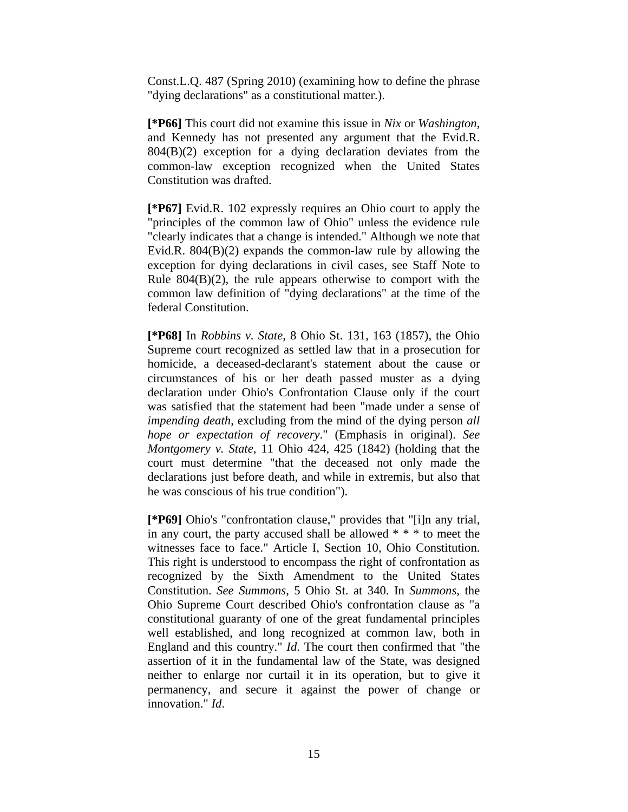Const.L.Q. 487 (Spring 2010) (examining how to define the phrase "dying declarations" as a constitutional matter.).

**[\*P66]** This court did not examine this issue in *Nix* or *Washington*, and Kennedy has not presented any argument that the Evid.R. 804(B)(2) exception for a dying declaration deviates from the common-law exception recognized when the United States Constitution was drafted.

**[\*P67]** Evid.R. 102 expressly requires an Ohio court to apply the "principles of the common law of Ohio" unless the evidence rule "clearly indicates that a change is intended." Although we note that Evid.R. 804(B)(2) expands the common-law rule by allowing the exception for dying declarations in civil cases, see Staff Note to Rule  $804(B)(2)$ , the rule appears otherwise to comport with the common law definition of "dying declarations" at the time of the federal Constitution.

**[\*P68]** In *Robbins v. State*, 8 Ohio St. 131, 163 (1857), the Ohio Supreme court recognized as settled law that in a prosecution for homicide, a deceased-declarant's statement about the cause or circumstances of his or her death passed muster as a dying declaration under Ohio's Confrontation Clause only if the court was satisfied that the statement had been "made under a sense of *impending death*, excluding from the mind of the dying person *all hope or expectation of recovery*." (Emphasis in original). *See Montgomery v. State*, 11 Ohio 424, 425 (1842) (holding that the court must determine "that the deceased not only made the declarations just before death, and while in extremis, but also that he was conscious of his true condition").

**[\*P69]** Ohio's "confrontation clause," provides that "[i]n any trial, in any court, the party accused shall be allowed \* \* \* to meet the witnesses face to face." Article I, Section 10, Ohio Constitution. This right is understood to encompass the right of confrontation as recognized by the Sixth Amendment to the United States Constitution. *See Summons*, 5 Ohio St. at 340. In *Summons*, the Ohio Supreme Court described Ohio's confrontation clause as "a constitutional guaranty of one of the great fundamental principles well established, and long recognized at common law, both in England and this country." *Id*. The court then confirmed that "the assertion of it in the fundamental law of the State, was designed neither to enlarge nor curtail it in its operation, but to give it permanency, and secure it against the power of change or innovation." *Id*.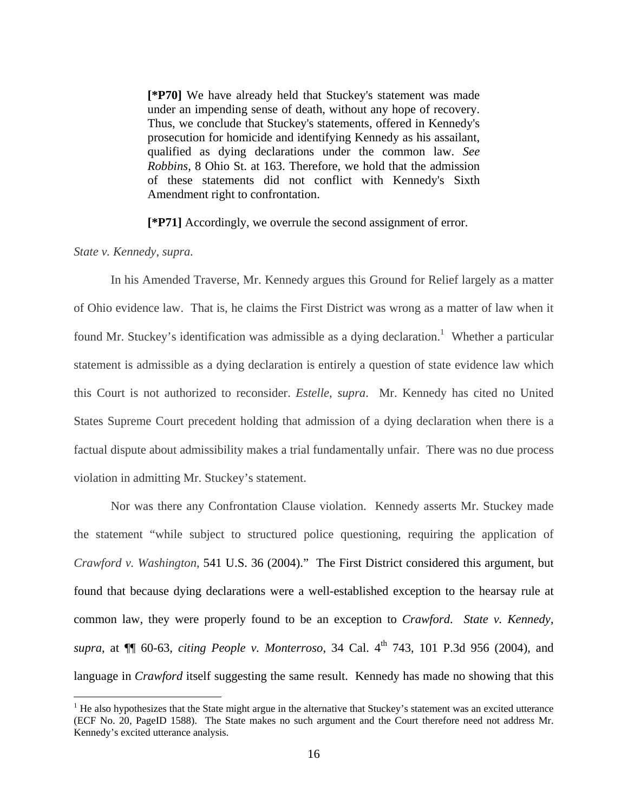**[\*P70]** We have already held that Stuckey's statement was made under an impending sense of death, without any hope of recovery. Thus, we conclude that Stuckey's statements, offered in Kennedy's prosecution for homicide and identifying Kennedy as his assailant, qualified as dying declarations under the common law. *See Robbins*, 8 Ohio St. at 163. Therefore, we hold that the admission of these statements did not conflict with Kennedy's Sixth Amendment right to confrontation.

**[\*P71]** Accordingly, we overrule the second assignment of error.

#### *State v. Kennedy*, *supra.*

 $\overline{a}$ 

 In his Amended Traverse, Mr. Kennedy argues this Ground for Relief largely as a matter of Ohio evidence law. That is, he claims the First District was wrong as a matter of law when it found Mr. Stuckey's identification was admissible as a dying declaration.<sup>1</sup> Whether a particular statement is admissible as a dying declaration is entirely a question of state evidence law which this Court is not authorized to reconsider. *Estelle*, *supra*. Mr. Kennedy has cited no United States Supreme Court precedent holding that admission of a dying declaration when there is a factual dispute about admissibility makes a trial fundamentally unfair. There was no due process violation in admitting Mr. Stuckey's statement.

 Nor was there any Confrontation Clause violation. Kennedy asserts Mr. Stuckey made the statement "while subject to structured police questioning, requiring the application of *Crawford v. Washington*, 541 U.S. 36 (2004)." The First District considered this argument, but found that because dying declarations were a well-established exception to the hearsay rule at common law, they were properly found to be an exception to *Crawford*. *State v. Kennedy*, *supra*, at  $\P$  60-63, *citing People v. Monterroso*, 34 Cal. 4<sup>th</sup> 743, 101 P.3d 956 (2004), and language in *Crawford* itself suggesting the same result. Kennedy has made no showing that this

 $<sup>1</sup>$  He also hypothesizes that the State might argue in the alternative that Stuckey's statement was an excited utterance</sup> (ECF No. 20, PageID 1588). The State makes no such argument and the Court therefore need not address Mr. Kennedy's excited utterance analysis.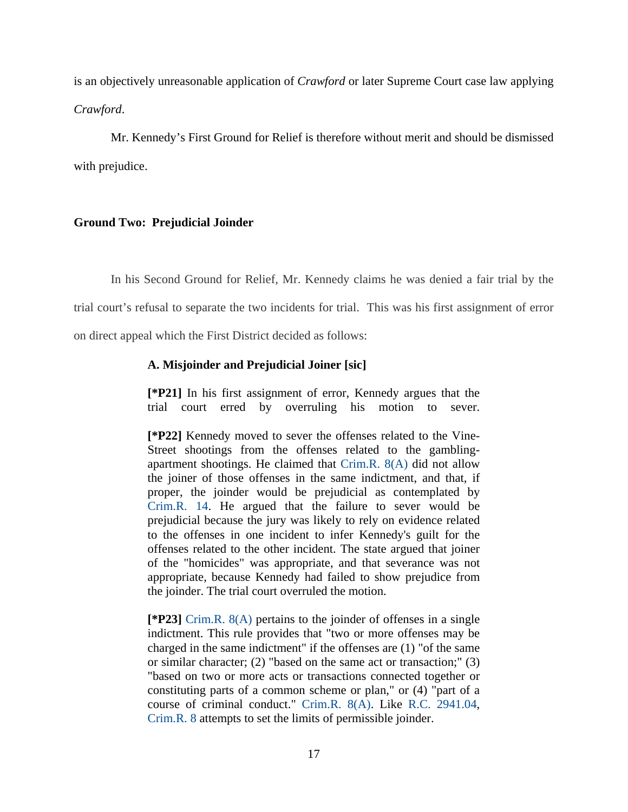is an objectively unreasonable application of *Crawford* or later Supreme Court case law applying *Crawford*.

 Mr. Kennedy's First Ground for Relief is therefore without merit and should be dismissed with prejudice.

# **Ground Two: Prejudicial Joinder**

In his Second Ground for Relief, Mr. Kennedy claims he was denied a fair trial by the

trial court's refusal to separate the two incidents for trial. This was his first assignment of error

on direct appeal which the First District decided as follows:

### **A. Misjoinder and Prejudicial Joiner [sic]**

**[\*P21]** In his first assignment of error, Kennedy argues that the trial court erred by overruling his motion to sever.

**[\*P22]** Kennedy moved to sever the offenses related to the Vine-Street shootings from the offenses related to the gamblingapartment shootings. He claimed that Crim.R. 8(A) did not allow the joiner of those offenses in the same indictment, and that, if proper, the joinder would be prejudicial as contemplated by Crim.R. 14. He argued that the failure to sever would be prejudicial because the jury was likely to rely on evidence related to the offenses in one incident to infer Kennedy's guilt for the offenses related to the other incident. The state argued that joiner of the "homicides" was appropriate, and that severance was not appropriate, because Kennedy had failed to show prejudice from the joinder. The trial court overruled the motion.

**[\*P23]** Crim.R. 8(A) pertains to the joinder of offenses in a single indictment. This rule provides that "two or more offenses may be charged in the same indictment" if the offenses are (1) "of the same or similar character; (2) "based on the same act or transaction;" (3) "based on two or more acts or transactions connected together or constituting parts of a common scheme or plan," or (4) "part of a course of criminal conduct." Crim.R. 8(A). Like R.C. 2941.04, Crim.R. 8 attempts to set the limits of permissible joinder.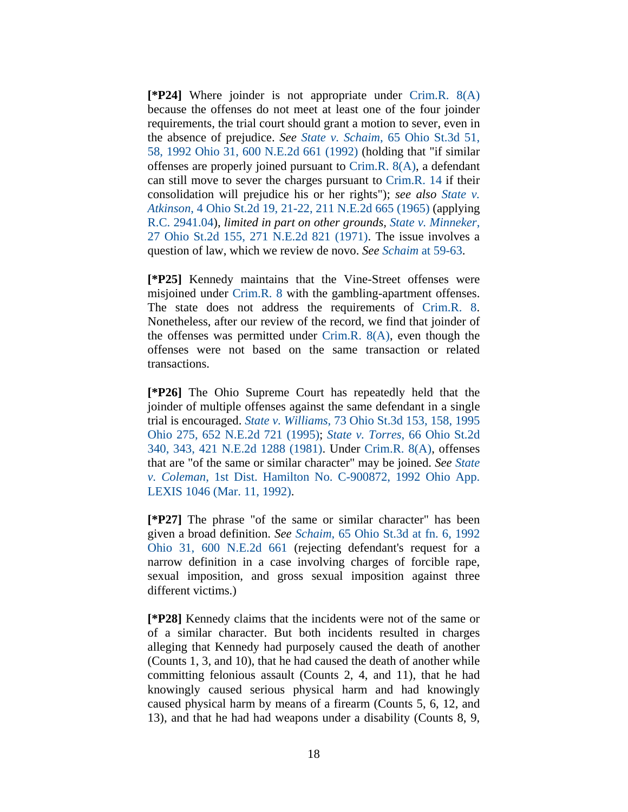**[\*P24]** Where joinder is not appropriate under Crim.R. 8(A) because the offenses do not meet at least one of the four joinder requirements, the trial court should grant a motion to sever, even in the absence of prejudice. *See State v. Schaim*, 65 Ohio St.3d 51, 58, 1992 Ohio 31, 600 N.E.2d 661 (1992) (holding that "if similar offenses are properly joined pursuant to Crim.R. 8(A), a defendant can still move to sever the charges pursuant to Crim.R. 14 if their consolidation will prejudice his or her rights"); *see also State v. Atkinson*, 4 Ohio St.2d 19, 21-22, 211 N.E.2d 665 (1965) (applying R.C. 2941.04), *limited in part on other grounds, State v. Minneker*, 27 Ohio St.2d 155, 271 N.E.2d 821 (1971). The issue involves a question of law, which we review de novo. *See Schaim* at 59-63.

**[\*P25]** Kennedy maintains that the Vine-Street offenses were misjoined under Crim.R. 8 with the gambling-apartment offenses. The state does not address the requirements of Crim.R. 8. Nonetheless, after our review of the record, we find that joinder of the offenses was permitted under Crim.R. 8(A), even though the offenses were not based on the same transaction or related transactions.

**[\*P26]** The Ohio Supreme Court has repeatedly held that the joinder of multiple offenses against the same defendant in a single trial is encouraged. *State v. Williams*, 73 Ohio St.3d 153, 158, 1995 Ohio 275, 652 N.E.2d 721 (1995); *State v. Torres*, 66 Ohio St.2d 340, 343, 421 N.E.2d 1288 (1981). Under Crim.R. 8(A), offenses that are "of the same or similar character" may be joined. *See State v. Coleman*, 1st Dist. Hamilton No. C-900872, 1992 Ohio App. LEXIS 1046 (Mar. 11, 1992).

**[\*P27]** The phrase "of the same or similar character" has been given a broad definition. *See Schaim*, 65 Ohio St.3d at fn. 6, 1992 Ohio 31, 600 N.E.2d 661 (rejecting defendant's request for a narrow definition in a case involving charges of forcible rape, sexual imposition, and gross sexual imposition against three different victims.)

**[\*P28]** Kennedy claims that the incidents were not of the same or of a similar character. But both incidents resulted in charges alleging that Kennedy had purposely caused the death of another (Counts 1, 3, and 10), that he had caused the death of another while committing felonious assault (Counts 2, 4, and 11), that he had knowingly caused serious physical harm and had knowingly caused physical harm by means of a firearm (Counts 5, 6, 12, and 13), and that he had had weapons under a disability (Counts 8, 9,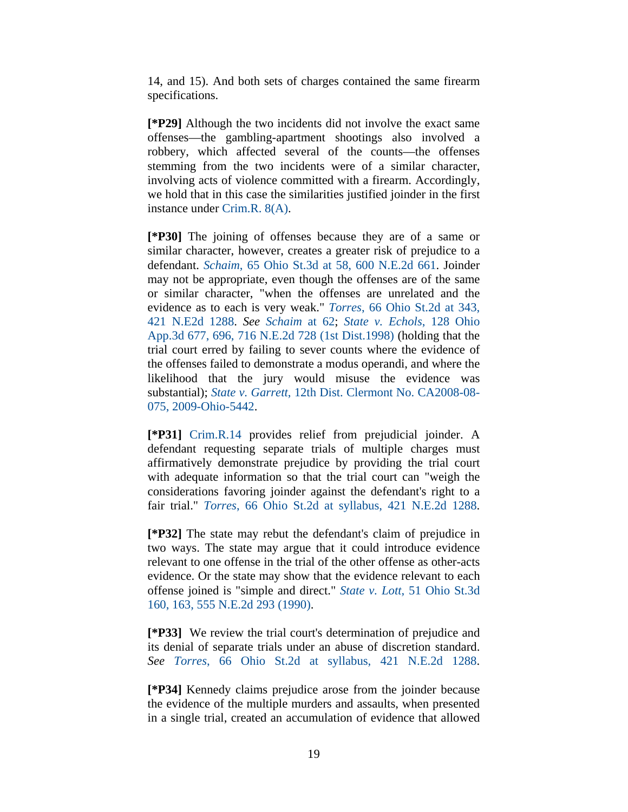14, and 15). And both sets of charges contained the same firearm specifications.

**[\*P29]** Although the two incidents did not involve the exact same offenses—the gambling-apartment shootings also involved a robbery, which affected several of the counts—the offenses stemming from the two incidents were of a similar character, involving acts of violence committed with a firearm. Accordingly, we hold that in this case the similarities justified joinder in the first instance under Crim.R. 8(A).

**[\*P30]** The joining of offenses because they are of a same or similar character, however, creates a greater risk of prejudice to a defendant. *Schaim*, 65 Ohio St.3d at 58, 600 N.E.2d 661. Joinder may not be appropriate, even though the offenses are of the same or similar character, "when the offenses are unrelated and the evidence as to each is very weak." *Torres*, 66 Ohio St.2d at 343, 421 N.E2d 1288. *See Schaim* at 62; *State v. Echols*, 128 Ohio App.3d 677, 696, 716 N.E.2d 728 (1st Dist.1998) (holding that the trial court erred by failing to sever counts where the evidence of the offenses failed to demonstrate a modus operandi, and where the likelihood that the jury would misuse the evidence was substantial); *State v. Garrett*, 12th Dist. Clermont No. CA2008-08- 075, 2009-Ohio-5442.

**[\*P31]** Crim.R.14 provides relief from prejudicial joinder. A defendant requesting separate trials of multiple charges must affirmatively demonstrate prejudice by providing the trial court with adequate information so that the trial court can "weigh the considerations favoring joinder against the defendant's right to a fair trial." *Torres*, 66 Ohio St.2d at syllabus, 421 N.E.2d 1288.

**[\*P32]** The state may rebut the defendant's claim of prejudice in two ways. The state may argue that it could introduce evidence relevant to one offense in the trial of the other offense as other-acts evidence. Or the state may show that the evidence relevant to each offense joined is "simple and direct." *State v. Lott*, 51 Ohio St.3d 160, 163, 555 N.E.2d 293 (1990).

**[\*P33]** We review the trial court's determination of prejudice and its denial of separate trials under an abuse of discretion standard. *See Torres*, 66 Ohio St.2d at syllabus, 421 N.E.2d 1288.

**[\*P34]** Kennedy claims prejudice arose from the joinder because the evidence of the multiple murders and assaults, when presented in a single trial, created an accumulation of evidence that allowed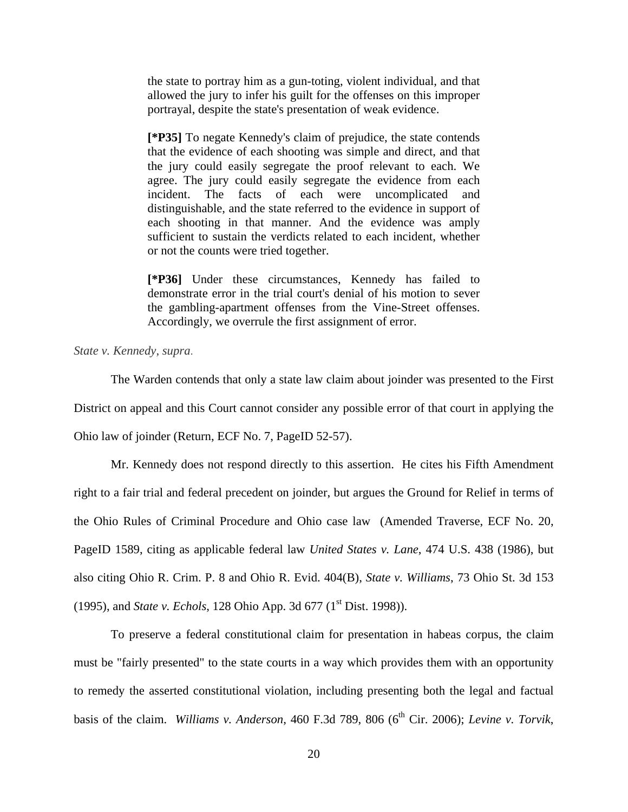the state to portray him as a gun-toting, violent individual, and that allowed the jury to infer his guilt for the offenses on this improper portrayal, despite the state's presentation of weak evidence.

**[\*P35]** To negate Kennedy's claim of prejudice, the state contends that the evidence of each shooting was simple and direct, and that the jury could easily segregate the proof relevant to each. We agree. The jury could easily segregate the evidence from each incident. The facts of each were uncomplicated and distinguishable, and the state referred to the evidence in support of each shooting in that manner. And the evidence was amply sufficient to sustain the verdicts related to each incident, whether or not the counts were tried together.

**[\*P36]** Under these circumstances, Kennedy has failed to demonstrate error in the trial court's denial of his motion to sever the gambling-apartment offenses from the Vine-Street offenses. Accordingly, we overrule the first assignment of error.

*State v. Kennedy*, *supra*.

 The Warden contends that only a state law claim about joinder was presented to the First District on appeal and this Court cannot consider any possible error of that court in applying the Ohio law of joinder (Return, ECF No. 7, PageID 52-57).

 Mr. Kennedy does not respond directly to this assertion. He cites his Fifth Amendment right to a fair trial and federal precedent on joinder, but argues the Ground for Relief in terms of the Ohio Rules of Criminal Procedure and Ohio case law (Amended Traverse, ECF No. 20, PageID 1589, citing as applicable federal law *United States v. Lane*, 474 U.S. 438 (1986), but also citing Ohio R. Crim. P. 8 and Ohio R. Evid. 404(B), *State v. Williams*, 73 Ohio St. 3d 153 (1995), and *State v. Echols*, 128 Ohio App. 3d 677 (1<sup>st</sup> Dist. 1998)).

To preserve a federal constitutional claim for presentation in habeas corpus, the claim must be "fairly presented" to the state courts in a way which provides them with an opportunity to remedy the asserted constitutional violation, including presenting both the legal and factual basis of the claim. *Williams v. Anderson*, 460 F.3d 789, 806 (6<sup>th</sup> Cir. 2006); *Levine v. Torvik*,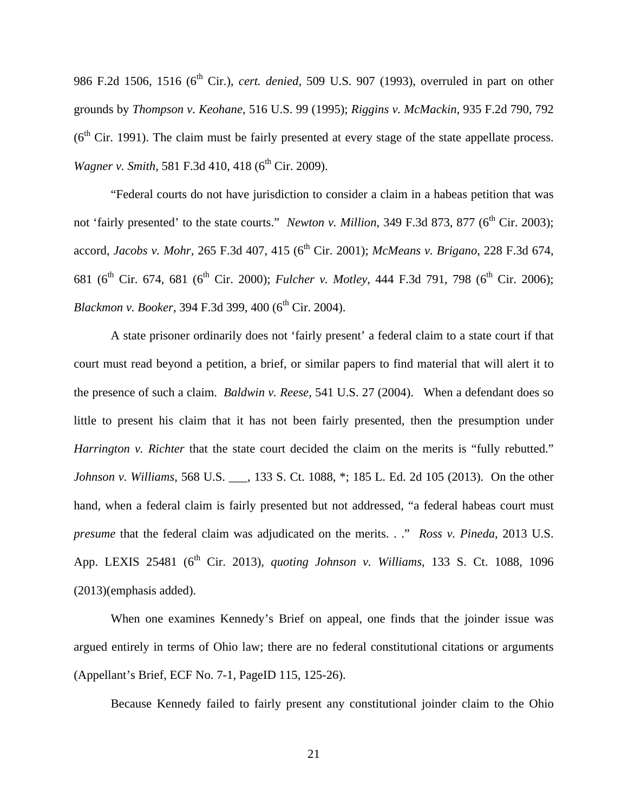986 F.2d 1506, 1516 (6<sup>th</sup> Cir.), *cert. denied*, 509 U.S. 907 (1993), overruled in part on other grounds by *Thompson v. Keohane*, 516 U.S. 99 (1995); *Riggins v. McMackin*, 935 F.2d 790, 792  $(6<sup>th</sup> Cir. 1991)$ . The claim must be fairly presented at every stage of the state appellate process. *Wagner v. Smith,* 581 F.3d 410, 418 (6<sup>th</sup> Cir. 2009).

 "Federal courts do not have jurisdiction to consider a claim in a habeas petition that was not 'fairly presented' to the state courts." *Newton v. Million*, 349 F.3d 873, 877 (6<sup>th</sup> Cir. 2003); accord, *Jacobs v. Mohr*, 265 F.3d 407, 415 (6<sup>th</sup> Cir. 2001); *McMeans v. Brigano*, 228 F.3d 674, 681 (6<sup>th</sup> Cir. 674, 681 (6<sup>th</sup> Cir. 2000); *Fulcher v. Motley*, 444 F.3d 791, 798 (6<sup>th</sup> Cir. 2006); *Blackmon v. Booker*, 394 F.3d 399, 400 (6<sup>th</sup> Cir. 2004).

A state prisoner ordinarily does not 'fairly present' a federal claim to a state court if that court must read beyond a petition, a brief, or similar papers to find material that will alert it to the presence of such a claim. *Baldwin v. Reese*, 541 U.S. 27 (2004). When a defendant does so little to present his claim that it has not been fairly presented, then the presumption under *Harrington v. Richter* that the state court decided the claim on the merits is "fully rebutted." *Johnson v. Williams*, 568 U.S. \_\_\_, 133 S. Ct. 1088, \*; 185 L. Ed. 2d 105 (2013). On the other hand, when a federal claim is fairly presented but not addressed, "a federal habeas court must *presume* that the federal claim was adjudicated on the merits. . ." *Ross v. Pineda*, 2013 U.S. App. LEXIS 25481 (6th Cir. 2013), *quoting Johnson v. Williams*, 133 S. Ct. 1088, 1096 (2013)(emphasis added).

When one examines Kennedy's Brief on appeal, one finds that the joinder issue was argued entirely in terms of Ohio law; there are no federal constitutional citations or arguments (Appellant's Brief, ECF No. 7-1, PageID 115, 125-26).

Because Kennedy failed to fairly present any constitutional joinder claim to the Ohio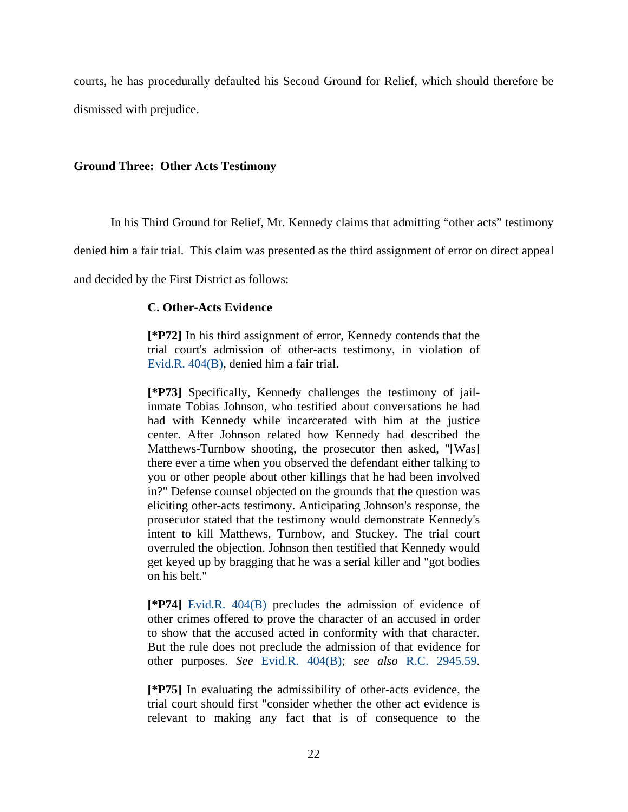courts, he has procedurally defaulted his Second Ground for Relief, which should therefore be dismissed with prejudice.

## **Ground Three: Other Acts Testimony**

In his Third Ground for Relief, Mr. Kennedy claims that admitting "other acts" testimony

denied him a fair trial. This claim was presented as the third assignment of error on direct appeal

and decided by the First District as follows:

### **C. Other-Acts Evidence**

**[\*P72]** In his third assignment of error, Kennedy contends that the trial court's admission of other-acts testimony, in violation of Evid.R. 404(B), denied him a fair trial.

**[\*P73]** Specifically, Kennedy challenges the testimony of jailinmate Tobias Johnson, who testified about conversations he had had with Kennedy while incarcerated with him at the justice center. After Johnson related how Kennedy had described the Matthews-Turnbow shooting, the prosecutor then asked, "[Was] there ever a time when you observed the defendant either talking to you or other people about other killings that he had been involved in?" Defense counsel objected on the grounds that the question was eliciting other-acts testimony. Anticipating Johnson's response, the prosecutor stated that the testimony would demonstrate Kennedy's intent to kill Matthews, Turnbow, and Stuckey. The trial court overruled the objection. Johnson then testified that Kennedy would get keyed up by bragging that he was a serial killer and "got bodies on his belt."

**[\*P74]** Evid.R. 404(B) precludes the admission of evidence of other crimes offered to prove the character of an accused in order to show that the accused acted in conformity with that character. But the rule does not preclude the admission of that evidence for other purposes. *See* Evid.R. 404(B); *see also* R.C. 2945.59.

**[\*P75]** In evaluating the admissibility of other-acts evidence, the trial court should first "consider whether the other act evidence is relevant to making any fact that is of consequence to the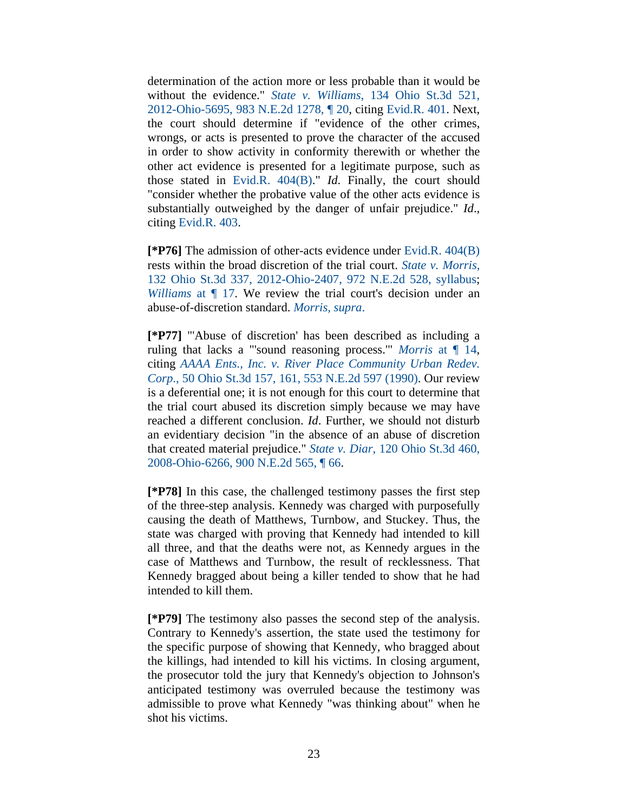determination of the action more or less probable than it would be without the evidence." *State v. Williams*, 134 Ohio St.3d 521, 2012-Ohio-5695, 983 N.E.2d 1278, ¶ 20, citing Evid.R. 401. Next, the court should determine if "evidence of the other crimes, wrongs, or acts is presented to prove the character of the accused in order to show activity in conformity therewith or whether the other act evidence is presented for a legitimate purpose, such as those stated in Evid.R. 404(B)." *Id*. Finally, the court should "consider whether the probative value of the other acts evidence is substantially outweighed by the danger of unfair prejudice." *Id*., citing Evid.R. 403.

**[\*P76]** The admission of other-acts evidence under Evid.R. 404(B) rests within the broad discretion of the trial court. *State v. Morris*, 132 Ohio St.3d 337, 2012-Ohio-2407, 972 N.E.2d 528, syllabus; *Williams* at ¶ 17. We review the trial court's decision under an abuse-of-discretion standard. *Morris, supra*.

**[\*P77]** "'Abuse of discretion' has been described as including a ruling that lacks a "'sound reasoning process.'" *Morris* at ¶ 14, citing *AAAA Ents., Inc. v. River Place Community Urban Redev. Corp*., 50 Ohio St.3d 157, 161, 553 N.E.2d 597 (1990). Our review is a deferential one; it is not enough for this court to determine that the trial court abused its discretion simply because we may have reached a different conclusion. *Id*. Further, we should not disturb an evidentiary decision "in the absence of an abuse of discretion that created material prejudice." *State v. Diar*, 120 Ohio St.3d 460, 2008-Ohio-6266, 900 N.E.2d 565, ¶ 66.

**[\*P78]** In this case, the challenged testimony passes the first step of the three-step analysis. Kennedy was charged with purposefully causing the death of Matthews, Turnbow, and Stuckey. Thus, the state was charged with proving that Kennedy had intended to kill all three, and that the deaths were not, as Kennedy argues in the case of Matthews and Turnbow, the result of recklessness. That Kennedy bragged about being a killer tended to show that he had intended to kill them.

**[\*P79]** The testimony also passes the second step of the analysis. Contrary to Kennedy's assertion, the state used the testimony for the specific purpose of showing that Kennedy, who bragged about the killings, had intended to kill his victims. In closing argument, the prosecutor told the jury that Kennedy's objection to Johnson's anticipated testimony was overruled because the testimony was admissible to prove what Kennedy "was thinking about" when he shot his victims.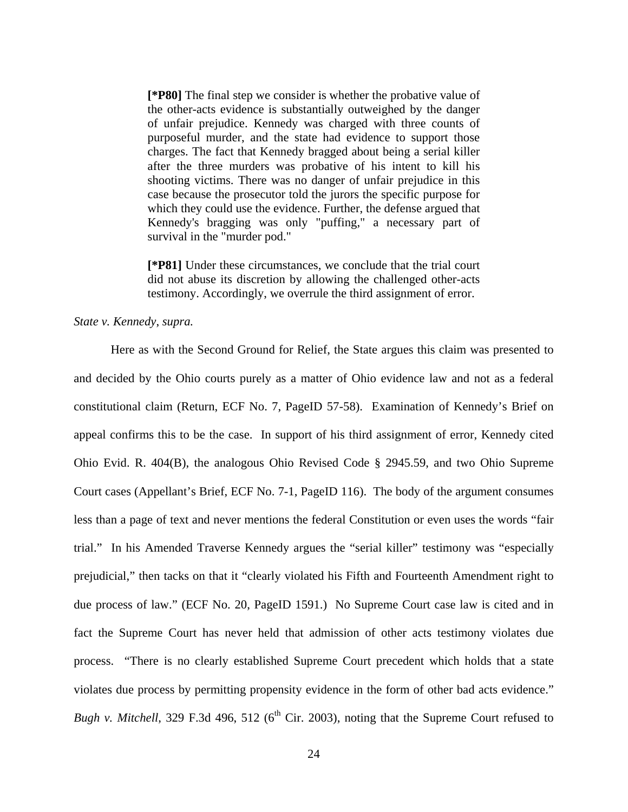**[\*P80]** The final step we consider is whether the probative value of the other-acts evidence is substantially outweighed by the danger of unfair prejudice. Kennedy was charged with three counts of purposeful murder, and the state had evidence to support those charges. The fact that Kennedy bragged about being a serial killer after the three murders was probative of his intent to kill his shooting victims. There was no danger of unfair prejudice in this case because the prosecutor told the jurors the specific purpose for which they could use the evidence. Further, the defense argued that Kennedy's bragging was only "puffing," a necessary part of survival in the "murder pod."

**[\*P81]** Under these circumstances, we conclude that the trial court did not abuse its discretion by allowing the challenged other-acts testimony. Accordingly, we overrule the third assignment of error.

### *State v. Kennedy*, *supra.*

Here as with the Second Ground for Relief, the State argues this claim was presented to and decided by the Ohio courts purely as a matter of Ohio evidence law and not as a federal constitutional claim (Return, ECF No. 7, PageID 57-58). Examination of Kennedy's Brief on appeal confirms this to be the case. In support of his third assignment of error, Kennedy cited Ohio Evid. R. 404(B), the analogous Ohio Revised Code § 2945.59, and two Ohio Supreme Court cases (Appellant's Brief, ECF No. 7-1, PageID 116). The body of the argument consumes less than a page of text and never mentions the federal Constitution or even uses the words "fair trial." In his Amended Traverse Kennedy argues the "serial killer" testimony was "especially prejudicial," then tacks on that it "clearly violated his Fifth and Fourteenth Amendment right to due process of law." (ECF No. 20, PageID 1591.) No Supreme Court case law is cited and in fact the Supreme Court has never held that admission of other acts testimony violates due process. "There is no clearly established Supreme Court precedent which holds that a state violates due process by permitting propensity evidence in the form of other bad acts evidence." *Bugh v. Mitchell*, 329 F.3d 496, 512 ( $6<sup>th</sup>$  Cir. 2003), noting that the Supreme Court refused to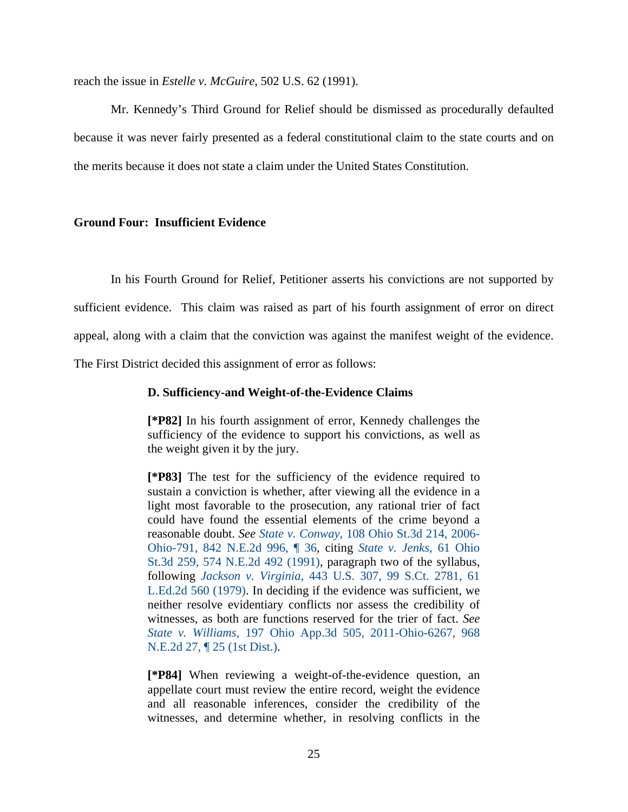reach the issue in *Estelle v. McGuire*, 502 U.S. 62 (1991).

 Mr. Kennedy's Third Ground for Relief should be dismissed as procedurally defaulted because it was never fairly presented as a federal constitutional claim to the state courts and on the merits because it does not state a claim under the United States Constitution.

### **Ground Four: Insufficient Evidence**

 In his Fourth Ground for Relief, Petitioner asserts his convictions are not supported by sufficient evidence. This claim was raised as part of his fourth assignment of error on direct appeal, along with a claim that the conviction was against the manifest weight of the evidence. The First District decided this assignment of error as follows:

### **D. Sufficiency-and Weight-of-the-Evidence Claims**

**[\*P82]** In his fourth assignment of error, Kennedy challenges the sufficiency of the evidence to support his convictions, as well as the weight given it by the jury.

**[\*P83]** The test for the sufficiency of the evidence required to sustain a conviction is whether, after viewing all the evidence in a light most favorable to the prosecution, any rational trier of fact could have found the essential elements of the crime beyond a reasonable doubt. *See State v. Conway*, 108 Ohio St.3d 214, 2006- Ohio-791, 842 N.E.2d 996, ¶ 36, citing *State v. Jenks*, 61 Ohio St.3d 259, 574 N.E.2d 492 (1991), paragraph two of the syllabus, following *Jackson v. Virginia*, 443 U.S. 307, 99 S.Ct. 2781, 61 L.Ed.2d 560 (1979). In deciding if the evidence was sufficient, we neither resolve evidentiary conflicts nor assess the credibility of witnesses, as both are functions reserved for the trier of fact. *See State v. Williams*, 197 Ohio App.3d 505, 2011-Ohio-6267, 968 N.E.2d 27, ¶ 25 (1st Dist.).

**[\*P84]** When reviewing a weight-of-the-evidence question, an appellate court must review the entire record, weight the evidence and all reasonable inferences, consider the credibility of the witnesses, and determine whether, in resolving conflicts in the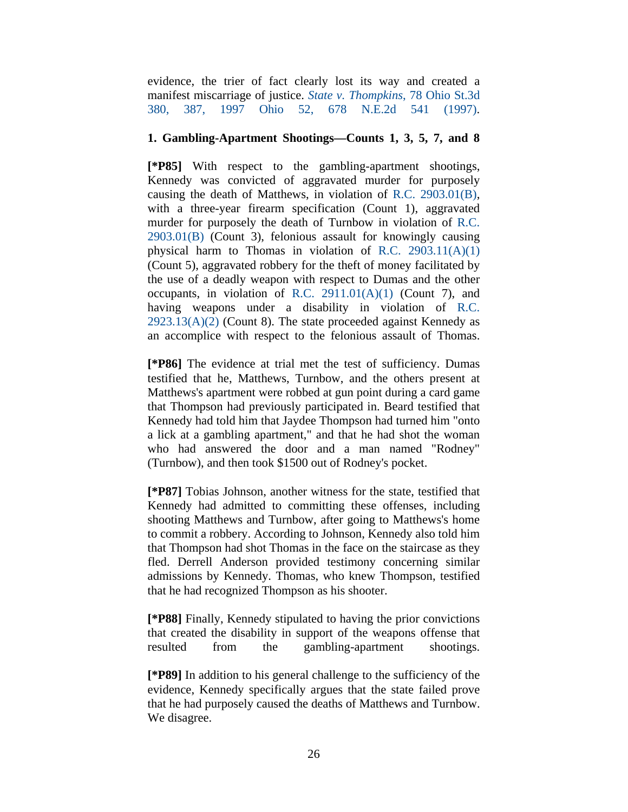evidence, the trier of fact clearly lost its way and created a manifest miscarriage of justice. *State v. Thompkins*, 78 Ohio St.3d 380, 387, 1997 Ohio 52, 678 N.E.2d 541 (1997).

# **1. Gambling-Apartment Shootings—Counts 1, 3, 5, 7, and 8**

**[\*P85]** With respect to the gambling-apartment shootings, Kennedy was convicted of aggravated murder for purposely causing the death of Matthews, in violation of R.C. 2903.01(B), with a three-year firearm specification (Count 1), aggravated murder for purposely the death of Turnbow in violation of R.C. 2903.01(B) (Count 3), felonious assault for knowingly causing physical harm to Thomas in violation of R.C. 2903.11(A)(1) (Count 5), aggravated robbery for the theft of money facilitated by the use of a deadly weapon with respect to Dumas and the other occupants, in violation of R.C.  $2911.01(A)(1)$  (Count 7), and having weapons under a disability in violation of R.C.  $2923.13(A)(2)$  (Count 8). The state proceeded against Kennedy as an accomplice with respect to the felonious assault of Thomas.

**[\*P86]** The evidence at trial met the test of sufficiency. Dumas testified that he, Matthews, Turnbow, and the others present at Matthews's apartment were robbed at gun point during a card game that Thompson had previously participated in. Beard testified that Kennedy had told him that Jaydee Thompson had turned him "onto a lick at a gambling apartment," and that he had shot the woman who had answered the door and a man named "Rodney" (Turnbow), and then took \$1500 out of Rodney's pocket.

**[\*P87]** Tobias Johnson, another witness for the state, testified that Kennedy had admitted to committing these offenses, including shooting Matthews and Turnbow, after going to Matthews's home to commit a robbery. According to Johnson, Kennedy also told him that Thompson had shot Thomas in the face on the staircase as they fled. Derrell Anderson provided testimony concerning similar admissions by Kennedy. Thomas, who knew Thompson, testified that he had recognized Thompson as his shooter.

**[\*P88]** Finally, Kennedy stipulated to having the prior convictions that created the disability in support of the weapons offense that resulted from the gambling-apartment shootings.

**[\*P89]** In addition to his general challenge to the sufficiency of the evidence, Kennedy specifically argues that the state failed prove that he had purposely caused the deaths of Matthews and Turnbow. We disagree.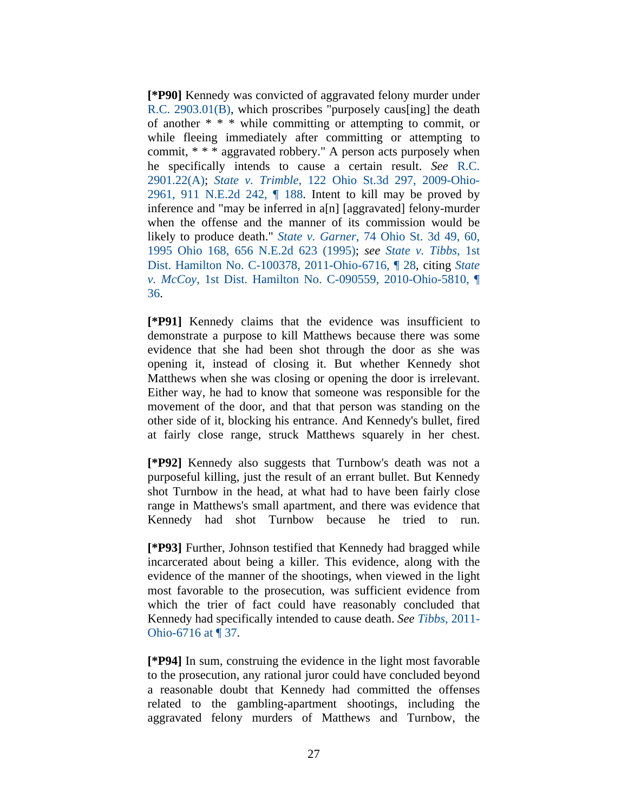**[\*P90]** Kennedy was convicted of aggravated felony murder under R.C. 2903.01(B), which proscribes "purposely caus[ing] the death of another \* \* \* while committing or attempting to commit, or while fleeing immediately after committing or attempting to commit, \* \* \* aggravated robbery." A person acts purposely when he specifically intends to cause a certain result. *See* R.C. 2901.22(A); *State v. Trimble*, 122 Ohio St.3d 297, 2009-Ohio-2961, 911 N.E.2d 242, ¶ 188. Intent to kill may be proved by inference and "may be inferred in a[n] [aggravated] felony-murder when the offense and the manner of its commission would be likely to produce death." *State v. Garner*, 74 Ohio St. 3d 49, 60, 1995 Ohio 168, 656 N.E.2d 623 (1995); *see State v. Tibbs*, 1st Dist. Hamilton No. C-100378, 2011-Ohio-6716, ¶ 28, citing *State v. McCoy*, 1st Dist. Hamilton No. C-090559, 2010-Ohio-5810, ¶ 36.

**[\*P91]** Kennedy claims that the evidence was insufficient to demonstrate a purpose to kill Matthews because there was some evidence that she had been shot through the door as she was opening it, instead of closing it. But whether Kennedy shot Matthews when she was closing or opening the door is irrelevant. Either way, he had to know that someone was responsible for the movement of the door, and that that person was standing on the other side of it, blocking his entrance. And Kennedy's bullet, fired at fairly close range, struck Matthews squarely in her chest.

**[\*P92]** Kennedy also suggests that Turnbow's death was not a purposeful killing, just the result of an errant bullet. But Kennedy shot Turnbow in the head, at what had to have been fairly close range in Matthews's small apartment, and there was evidence that Kennedy had shot Turnbow because he tried to run.

**[\*P93]** Further, Johnson testified that Kennedy had bragged while incarcerated about being a killer. This evidence, along with the evidence of the manner of the shootings, when viewed in the light most favorable to the prosecution, was sufficient evidence from which the trier of fact could have reasonably concluded that Kennedy had specifically intended to cause death. *See Tibbs*, 2011- Ohio-6716 at ¶ 37.

**[\*P94]** In sum, construing the evidence in the light most favorable to the prosecution, any rational juror could have concluded beyond a reasonable doubt that Kennedy had committed the offenses related to the gambling-apartment shootings, including the aggravated felony murders of Matthews and Turnbow, the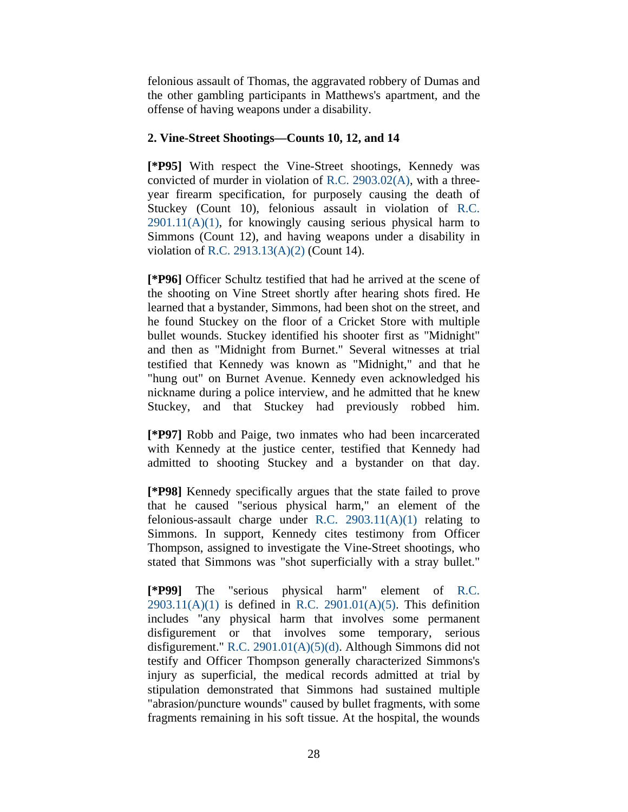felonious assault of Thomas, the aggravated robbery of Dumas and the other gambling participants in Matthews's apartment, and the offense of having weapons under a disability.

# **2. Vine-Street Shootings—Counts 10, 12, and 14**

**[\*P95]** With respect the Vine-Street shootings, Kennedy was convicted of murder in violation of R.C. 2903.02(A), with a threeyear firearm specification, for purposely causing the death of Stuckey (Count 10), felonious assault in violation of R.C.  $2901.11(A)(1)$ , for knowingly causing serious physical harm to Simmons (Count 12), and having weapons under a disability in violation of R.C. 2913.13(A)(2) (Count 14).

**[\*P96]** Officer Schultz testified that had he arrived at the scene of the shooting on Vine Street shortly after hearing shots fired. He learned that a bystander, Simmons, had been shot on the street, and he found Stuckey on the floor of a Cricket Store with multiple bullet wounds. Stuckey identified his shooter first as "Midnight" and then as "Midnight from Burnet." Several witnesses at trial testified that Kennedy was known as "Midnight," and that he "hung out" on Burnet Avenue. Kennedy even acknowledged his nickname during a police interview, and he admitted that he knew Stuckey, and that Stuckey had previously robbed him.

**[\*P97]** Robb and Paige, two inmates who had been incarcerated with Kennedy at the justice center, testified that Kennedy had admitted to shooting Stuckey and a bystander on that day.

**[\*P98]** Kennedy specifically argues that the state failed to prove that he caused "serious physical harm," an element of the felonious-assault charge under R.C. 2903.11(A)(1) relating to Simmons. In support, Kennedy cites testimony from Officer Thompson, assigned to investigate the Vine-Street shootings, who stated that Simmons was "shot superficially with a stray bullet."

**[\*P99]** The "serious physical harm" element of R.C.  $2903.11(A)(1)$  is defined in R.C.  $2901.01(A)(5)$ . This definition includes "any physical harm that involves some permanent disfigurement or that involves some temporary, serious disfigurement." R.C. 2901.01(A)(5)(d). Although Simmons did not testify and Officer Thompson generally characterized Simmons's injury as superficial, the medical records admitted at trial by stipulation demonstrated that Simmons had sustained multiple "abrasion/puncture wounds" caused by bullet fragments, with some fragments remaining in his soft tissue. At the hospital, the wounds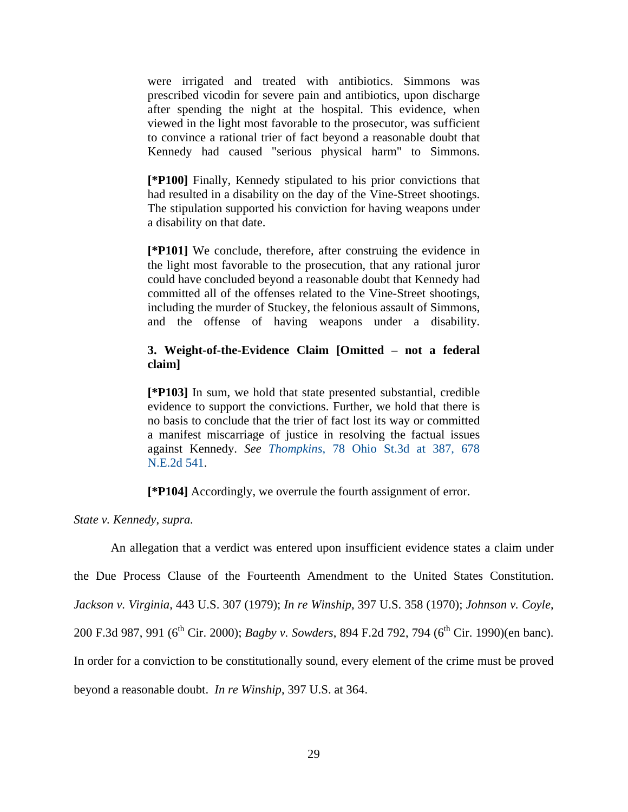were irrigated and treated with antibiotics. Simmons was prescribed vicodin for severe pain and antibiotics, upon discharge after spending the night at the hospital. This evidence, when viewed in the light most favorable to the prosecutor, was sufficient to convince a rational trier of fact beyond a reasonable doubt that Kennedy had caused "serious physical harm" to Simmons.

**[\*P100]** Finally, Kennedy stipulated to his prior convictions that had resulted in a disability on the day of the Vine-Street shootings. The stipulation supported his conviction for having weapons under a disability on that date.

**[\*P101]** We conclude, therefore, after construing the evidence in the light most favorable to the prosecution, that any rational juror could have concluded beyond a reasonable doubt that Kennedy had committed all of the offenses related to the Vine-Street shootings, including the murder of Stuckey, the felonious assault of Simmons, and the offense of having weapons under a disability.

# **3. Weight-of-the-Evidence Claim [Omitted – not a federal claim]**

**[\*P103]** In sum, we hold that state presented substantial, credible evidence to support the convictions. Further, we hold that there is no basis to conclude that the trier of fact lost its way or committed a manifest miscarriage of justice in resolving the factual issues against Kennedy. *See Thompkins*, 78 Ohio St.3d at 387, 678 N.E.2d 541.

**[\*P104]** Accordingly, we overrule the fourth assignment of error.

*State v. Kennedy*, *supra.* 

An allegation that a verdict was entered upon insufficient evidence states a claim under the Due Process Clause of the Fourteenth Amendment to the United States Constitution. *Jackson v. Virginia*, 443 U.S. 307 (1979); *In re Winship*, 397 U.S. 358 (1970); *Johnson v. Coyle*, 200 F.3d 987, 991 (6<sup>th</sup> Cir. 2000); *Bagby v. Sowders*, 894 F.2d 792, 794 (6<sup>th</sup> Cir. 1990)(en banc). In order for a conviction to be constitutionally sound, every element of the crime must be proved beyond a reasonable doubt. *In re Winship*, 397 U.S. at 364.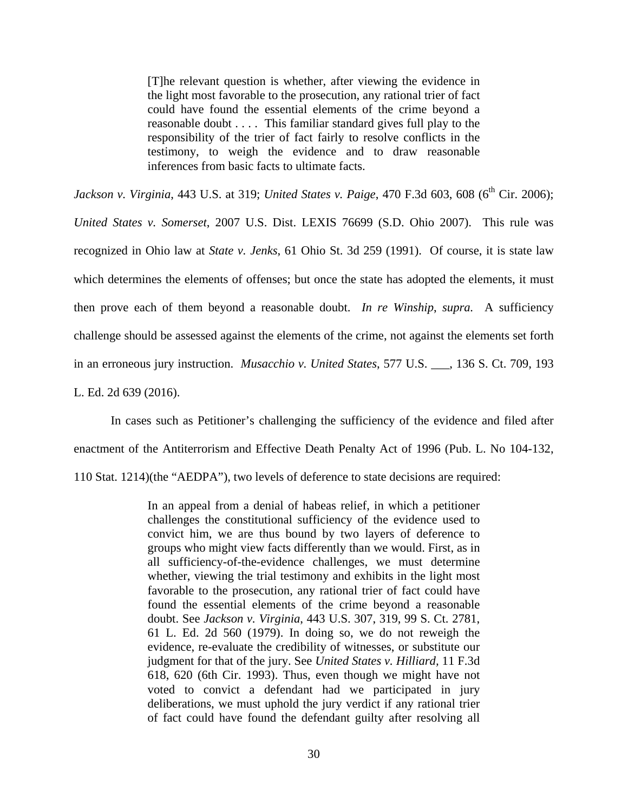[T]he relevant question is whether, after viewing the evidence in the light most favorable to the prosecution, any rational trier of fact could have found the essential elements of the crime beyond a reasonable doubt . . . . This familiar standard gives full play to the responsibility of the trier of fact fairly to resolve conflicts in the testimony, to weigh the evidence and to draw reasonable inferences from basic facts to ultimate facts.

*Jackson v. Virginia*, 443 U.S. at 319; *United States v. Paige*, 470 F.3d 603, 608 (6<sup>th</sup> Cir. 2006);

*United States v. Somerset*, 2007 U.S. Dist. LEXIS 76699 (S.D. Ohio 2007). This rule was recognized in Ohio law at *State v. Jenks*, 61 Ohio St. 3d 259 (1991). Of course, it is state law which determines the elements of offenses; but once the state has adopted the elements, it must then prove each of them beyond a reasonable doubt. *In re Winship*, *supra.* A sufficiency challenge should be assessed against the elements of the crime, not against the elements set forth in an erroneous jury instruction. *Musacchio v. United States*, 577 U.S. \_\_\_, 136 S. Ct. 709, 193

L. Ed. 2d 639 (2016).

 In cases such as Petitioner's challenging the sufficiency of the evidence and filed after enactment of the Antiterrorism and Effective Death Penalty Act of 1996 (Pub. L. No 104-132, 110 Stat. 1214)(the "AEDPA"), two levels of deference to state decisions are required:

> In an appeal from a denial of habeas relief, in which a petitioner challenges the constitutional sufficiency of the evidence used to convict him, we are thus bound by two layers of deference to groups who might view facts differently than we would. First, as in all sufficiency-of-the-evidence challenges, we must determine whether, viewing the trial testimony and exhibits in the light most favorable to the prosecution, any rational trier of fact could have found the essential elements of the crime beyond a reasonable doubt. See *Jackson v. Virginia*, 443 U.S. 307, 319, 99 S. Ct. 2781, 61 L. Ed. 2d 560 (1979). In doing so, we do not reweigh the evidence, re-evaluate the credibility of witnesses, or substitute our judgment for that of the jury. See *United States v. Hilliard,* 11 F.3d 618, 620 (6th Cir. 1993). Thus, even though we might have not voted to convict a defendant had we participated in jury deliberations, we must uphold the jury verdict if any rational trier of fact could have found the defendant guilty after resolving all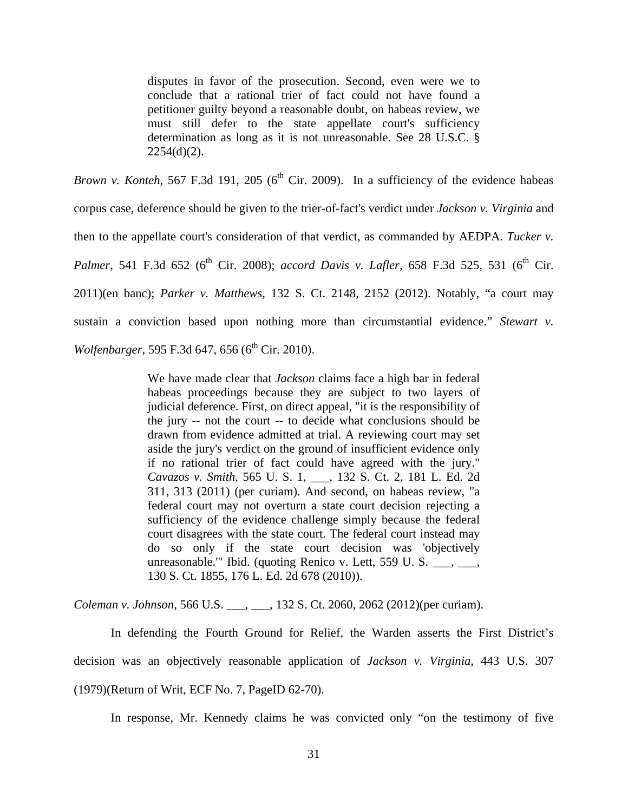disputes in favor of the prosecution. Second, even were we to conclude that a rational trier of fact could not have found a petitioner guilty beyond a reasonable doubt, on habeas review, we must still defer to the state appellate court's sufficiency determination as long as it is not unreasonable. See 28 U.S.C. §  $2254(d)(2)$ .

*Brown v. Konteh,* 567 F.3d 191, 205 ( $6<sup>th</sup>$  Cir. 2009). In a sufficiency of the evidence habeas corpus case, deference should be given to the trier-of-fact's verdict under *Jackson v. Virginia* and then to the appellate court's consideration of that verdict, as commanded by AEDPA. *Tucker v. Palmer*, 541 F.3d 652 (6<sup>th</sup> Cir. 2008); *accord Davis v. Lafler*, 658 F.3d 525, 531 (6<sup>th</sup> Cir. 2011)(en banc); *Parker v. Matthews*, 132 S. Ct. 2148, 2152 (2012). Notably, "a court may sustain a conviction based upon nothing more than circumstantial evidence." *Stewart v. Wolfenbarger*, 595 F.3d 647, 656 (6<sup>th</sup> Cir. 2010).

> We have made clear that *Jackson* claims face a high bar in federal habeas proceedings because they are subject to two layers of judicial deference. First, on direct appeal, "it is the responsibility of the jury -- not the court -- to decide what conclusions should be drawn from evidence admitted at trial. A reviewing court may set aside the jury's verdict on the ground of insufficient evidence only if no rational trier of fact could have agreed with the jury." *Cavazos v. Smith*, 565 U. S. 1, \_\_\_, 132 S. Ct. 2, 181 L. Ed. 2d 311, 313 (2011) (per curiam). And second, on habeas review, "a federal court may not overturn a state court decision rejecting a sufficiency of the evidence challenge simply because the federal court disagrees with the state court. The federal court instead may do so only if the state court decision was 'objectively unreasonable.'" Ibid. (quoting Renico v. Lett, 559 U. S.  $\_\_\_\_\_\_\_\_\_\$ 130 S. Ct. 1855, 176 L. Ed. 2d 678 (2010)).

*Coleman v. Johnson*, 566 U.S. \_\_\_, \_\_\_, 132 S. Ct. 2060, 2062 (2012)(per curiam).

 In defending the Fourth Ground for Relief, the Warden asserts the First District's decision was an objectively reasonable application of *Jackson v. Virginia*, 443 U.S. 307 (1979)(Return of Writ, ECF No. 7, PageID 62-70).

In response, Mr. Kennedy claims he was convicted only "on the testimony of five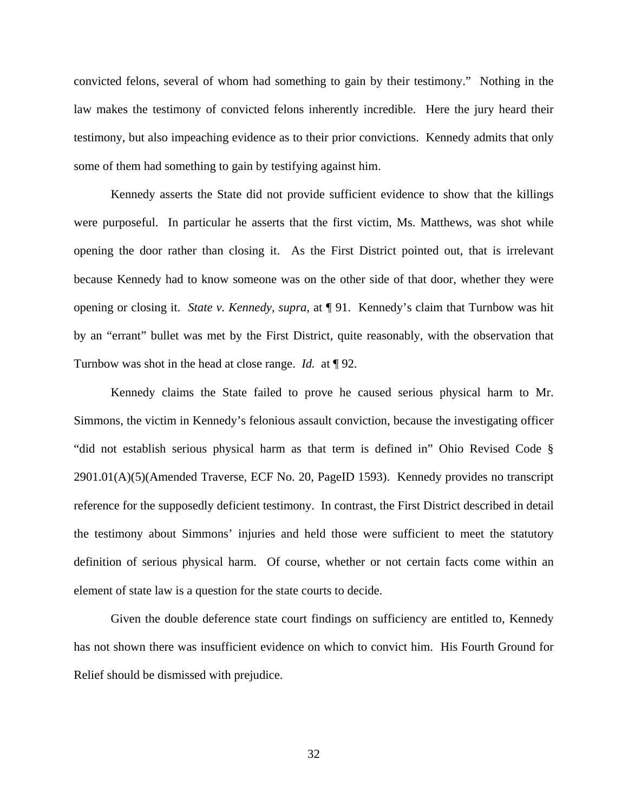convicted felons, several of whom had something to gain by their testimony." Nothing in the law makes the testimony of convicted felons inherently incredible. Here the jury heard their testimony, but also impeaching evidence as to their prior convictions. Kennedy admits that only some of them had something to gain by testifying against him.

 Kennedy asserts the State did not provide sufficient evidence to show that the killings were purposeful. In particular he asserts that the first victim, Ms. Matthews, was shot while opening the door rather than closing it. As the First District pointed out, that is irrelevant because Kennedy had to know someone was on the other side of that door, whether they were opening or closing it. *State v. Kennedy*, *supra*, at ¶ 91. Kennedy's claim that Turnbow was hit by an "errant" bullet was met by the First District, quite reasonably, with the observation that Turnbow was shot in the head at close range. *Id.* at ¶ 92.

 Kennedy claims the State failed to prove he caused serious physical harm to Mr. Simmons, the victim in Kennedy's felonious assault conviction, because the investigating officer "did not establish serious physical harm as that term is defined in" Ohio Revised Code § 2901.01(A)(5)(Amended Traverse, ECF No. 20, PageID 1593). Kennedy provides no transcript reference for the supposedly deficient testimony. In contrast, the First District described in detail the testimony about Simmons' injuries and held those were sufficient to meet the statutory definition of serious physical harm. Of course, whether or not certain facts come within an element of state law is a question for the state courts to decide.

 Given the double deference state court findings on sufficiency are entitled to, Kennedy has not shown there was insufficient evidence on which to convict him. His Fourth Ground for Relief should be dismissed with prejudice.